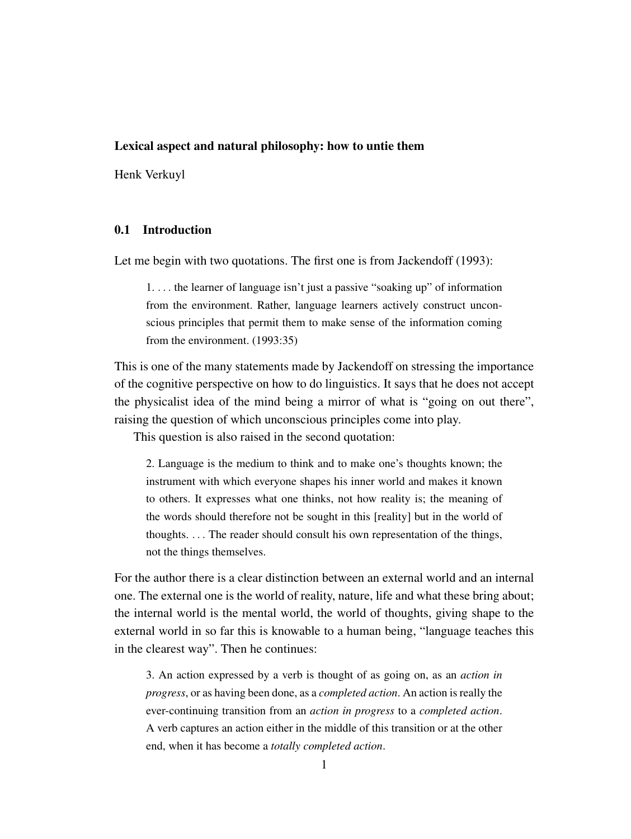#### Lexical aspect and natural philosophy: how to untie them

Henk Verkuyl

# 0.1 Introduction

Let me begin with two quotations. The first one is from Jackendoff (1993):

1. . . . the learner of language isn't just a passive "soaking up" of information from the environment. Rather, language learners actively construct unconscious principles that permit them to make sense of the information coming from the environment. (1993:35)

This is one of the many statements made by Jackendoff on stressing the importance of the cognitive perspective on how to do linguistics. It says that he does not accept the physicalist idea of the mind being a mirror of what is "going on out there", raising the question of which unconscious principles come into play.

This question is also raised in the second quotation:

2. Language is the medium to think and to make one's thoughts known; the instrument with which everyone shapes his inner world and makes it known to others. It expresses what one thinks, not how reality is; the meaning of the words should therefore not be sought in this [reality] but in the world of thoughts. . . . The reader should consult his own representation of the things, not the things themselves.

For the author there is a clear distinction between an external world and an internal one. The external one is the world of reality, nature, life and what these bring about; the internal world is the mental world, the world of thoughts, giving shape to the external world in so far this is knowable to a human being, "language teaches this in the clearest way". Then he continues:

3. An action expressed by a verb is thought of as going on, as an *action in progress*, or as having been done, as a *completed action*. An action is really the ever-continuing transition from an *action in progress* to a *completed action*. A verb captures an action either in the middle of this transition or at the other end, when it has become a *totally completed action*.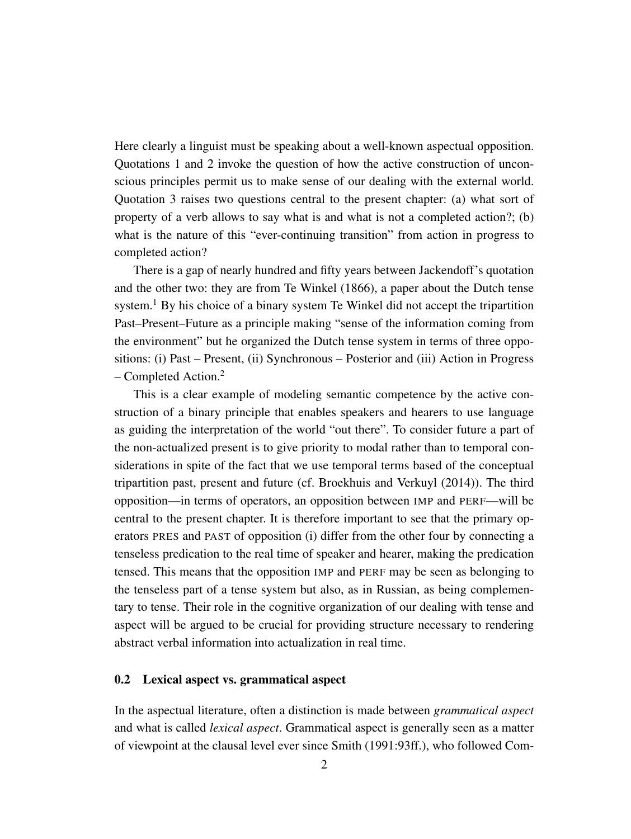Here clearly a linguist must be speaking about a well-known aspectual opposition. Quotations 1 and 2 invoke the question of how the active construction of unconscious principles permit us to make sense of our dealing with the external world. Quotation 3 raises two questions central to the present chapter: (a) what sort of property of a verb allows to say what is and what is not a completed action?; (b) what is the nature of this "ever-continuing transition" from action in progress to completed action?

There is a gap of nearly hundred and fifty years between Jackendoff's quotation and the other two: they are from Te Winkel (1866), a paper about the Dutch tense system.<sup>1</sup> By his choice of a binary system Te Winkel did not accept the tripartition Past–Present–Future as a principle making "sense of the information coming from the environment" but he organized the Dutch tense system in terms of three oppositions: (i) Past – Present, (ii) Synchronous – Posterior and (iii) Action in Progress – Completed Action.<sup>2</sup>

This is a clear example of modeling semantic competence by the active construction of a binary principle that enables speakers and hearers to use language as guiding the interpretation of the world "out there". To consider future a part of the non-actualized present is to give priority to modal rather than to temporal considerations in spite of the fact that we use temporal terms based of the conceptual tripartition past, present and future (cf. Broekhuis and Verkuyl (2014)). The third opposition—in terms of operators, an opposition between IMP and PERF—will be central to the present chapter. It is therefore important to see that the primary operators PRES and PAST of opposition (i) differ from the other four by connecting a tenseless predication to the real time of speaker and hearer, making the predication tensed. This means that the opposition IMP and PERF may be seen as belonging to the tenseless part of a tense system but also, as in Russian, as being complementary to tense. Their role in the cognitive organization of our dealing with tense and aspect will be argued to be crucial for providing structure necessary to rendering abstract verbal information into actualization in real time.

#### 0.2 Lexical aspect vs. grammatical aspect

In the aspectual literature, often a distinction is made between *grammatical aspect* and what is called *lexical aspect*. Grammatical aspect is generally seen as a matter of viewpoint at the clausal level ever since Smith (1991:93ff.), who followed Com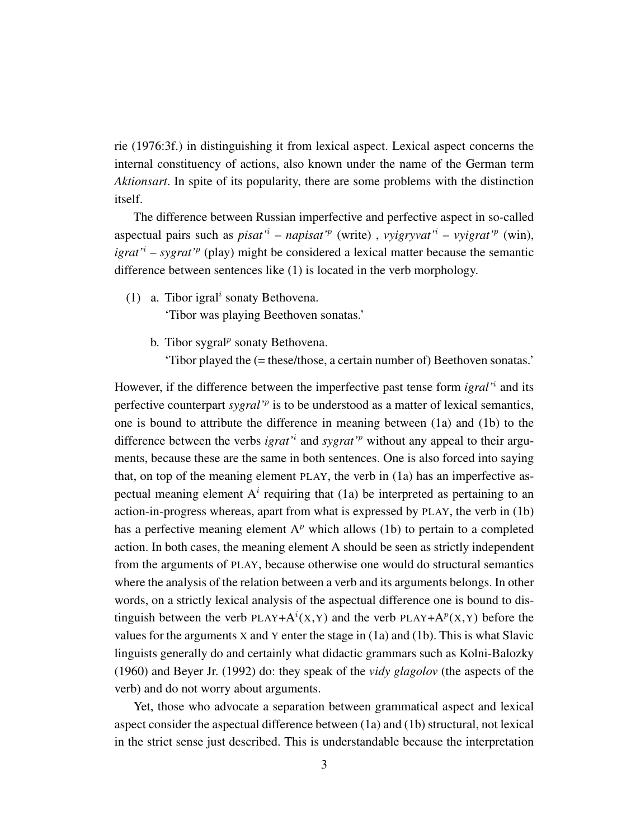rie (1976:3f.) in distinguishing it from lexical aspect. Lexical aspect concerns the internal constituency of actions, also known under the name of the German term *Aktionsart*. In spite of its popularity, there are some problems with the distinction itself.

The difference between Russian imperfective and perfective aspect in so-called aspectual pairs such as  $pisat'^{i}$  –  $napisat'^{p}$  (write),  $vyigryvat'^{i}$  –  $vyigrat'^{p}$  (win),  $\gamma$ *igrat*<sup>'i</sup> – *sygrat*<sup>'p</sup> (play) might be considered a lexical matter because the semantic difference between sentences like (1) is located in the verb morphology.

- (1) a. Tibor igral<sup>i</sup> sonaty Bethovena. 'Tibor was playing Beethoven sonatas.'
	- b. Tibor sygral<sup>p</sup> sonaty Bethovena.

'Tibor played the (= these/those, a certain number of) Beethoven sonatas.'

However, if the difference between the imperfective past tense form *igral'*<sup>i</sup> and its perfective counterpart *sygral'*<sup>p</sup> is to be understood as a matter of lexical semantics, one is bound to attribute the difference in meaning between (1a) and (1b) to the difference between the verbs *igrat'*<sup>i</sup> and *sygrat'*<sup>p</sup> without any appeal to their arguments, because these are the same in both sentences. One is also forced into saying that, on top of the meaning element PLAY, the verb in (1a) has an imperfective aspectual meaning element  $A<sup>i</sup>$  requiring that (1a) be interpreted as pertaining to an action-in-progress whereas, apart from what is expressed by PLAY, the verb in (1b) has a perfective meaning element  $A^p$  which allows (1b) to pertain to a completed action. In both cases, the meaning element A should be seen as strictly independent from the arguments of PLAY, because otherwise one would do structural semantics where the analysis of the relation between a verb and its arguments belongs. In other words, on a strictly lexical analysis of the aspectual difference one is bound to distinguish between the verb PLAY+ $A^{i}(X,Y)$  and the verb PLAY+ $A^{p}(X,Y)$  before the values for the arguments X and Y enter the stage in (1a) and (1b). This is what Slavic linguists generally do and certainly what didactic grammars such as Kolni-Balozky (1960) and Beyer Jr. (1992) do: they speak of the *vidy glagolov* (the aspects of the verb) and do not worry about arguments.

Yet, those who advocate a separation between grammatical aspect and lexical aspect consider the aspectual difference between (1a) and (1b) structural, not lexical in the strict sense just described. This is understandable because the interpretation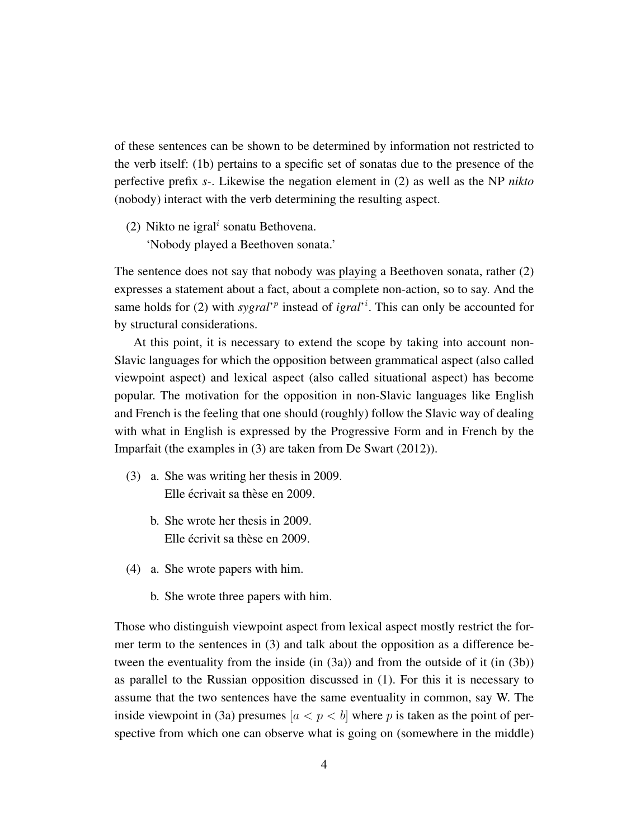of these sentences can be shown to be determined by information not restricted to the verb itself: (1b) pertains to a specific set of sonatas due to the presence of the perfective prefix *s-*. Likewise the negation element in (2) as well as the NP *nikto* (nobody) interact with the verb determining the resulting aspect.

 $(2)$  Nikto ne igral<sup>i</sup> sonatu Bethovena.

'Nobody played a Beethoven sonata.'

The sentence does not say that nobody was playing a Beethoven sonata, rather (2) expresses a statement about a fact, about a complete non-action, so to say. And the same holds for (2) with *sygral*<sup>'p</sup> instead of *igral*<sup>'*i*</sup>. This can only be accounted for by structural considerations.

At this point, it is necessary to extend the scope by taking into account non-Slavic languages for which the opposition between grammatical aspect (also called viewpoint aspect) and lexical aspect (also called situational aspect) has become popular. The motivation for the opposition in non-Slavic languages like English and French is the feeling that one should (roughly) follow the Slavic way of dealing with what in English is expressed by the Progressive Form and in French by the Imparfait (the examples in (3) are taken from De Swart (2012)).

- (3) a. She was writing her thesis in 2009. Elle écrivait sa thèse en 2009.
	- b. She wrote her thesis in 2009. Elle écrivit sa thèse en 2009.
- (4) a. She wrote papers with him.
	- b. She wrote three papers with him.

Those who distinguish viewpoint aspect from lexical aspect mostly restrict the former term to the sentences in (3) and talk about the opposition as a difference between the eventuality from the inside (in (3a)) and from the outside of it (in (3b)) as parallel to the Russian opposition discussed in (1). For this it is necessary to assume that the two sentences have the same eventuality in common, say W. The inside viewpoint in (3a) presumes  $[a < p < b]$  where p is taken as the point of perspective from which one can observe what is going on (somewhere in the middle)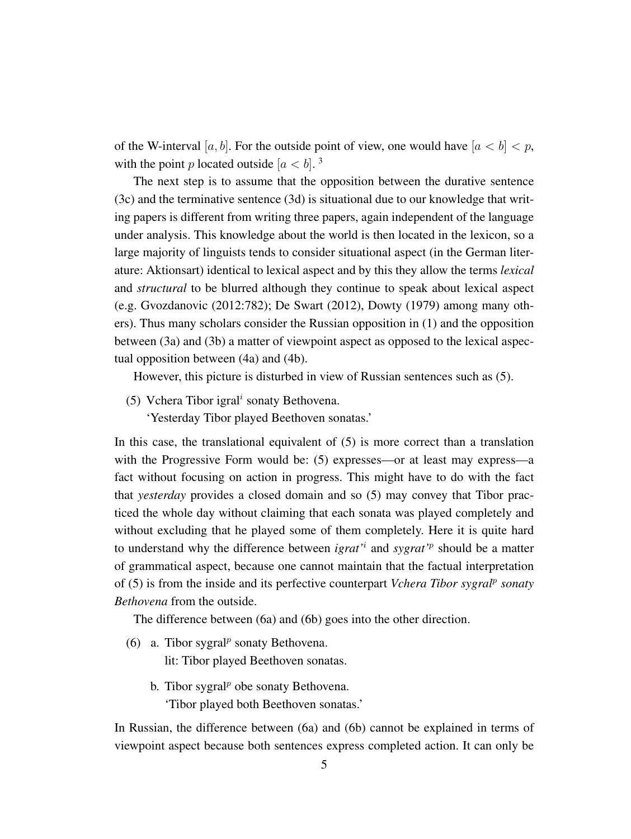of the W-interval  $[a, b]$ . For the outside point of view, one would have  $[a < b] < p$ , with the point p located outside  $[a < b]$ .<sup>3</sup>

The next step is to assume that the opposition between the durative sentence (3c) and the terminative sentence (3d) is situational due to our knowledge that writing papers is different from writing three papers, again independent of the language under analysis. This knowledge about the world is then located in the lexicon, so a large majority of linguists tends to consider situational aspect (in the German literature: Aktionsart) identical to lexical aspect and by this they allow the terms *lexical* and *structural* to be blurred although they continue to speak about lexical aspect (e.g. Gvozdanovic (2012:782); De Swart (2012), Dowty (1979) among many others). Thus many scholars consider the Russian opposition in (1) and the opposition between (3a) and (3b) a matter of viewpoint aspect as opposed to the lexical aspectual opposition between (4a) and (4b).

However, this picture is disturbed in view of Russian sentences such as (5).

(5) Vchera Tibor igral<sup>i</sup> sonaty Bethovena.

'Yesterday Tibor played Beethoven sonatas.'

In this case, the translational equivalent of (5) is more correct than a translation with the Progressive Form would be: (5) expresses—or at least may express—a fact without focusing on action in progress. This might have to do with the fact that *yesterday* provides a closed domain and so (5) may convey that Tibor practiced the whole day without claiming that each sonata was played completely and without excluding that he played some of them completely. Here it is quite hard to understand why the difference between *igrat'*<sup>i</sup> and *sygrat'*<sup>p</sup> should be a matter of grammatical aspect, because one cannot maintain that the factual interpretation of (5) is from the inside and its perfective counterpart *Vchera Tibor sygral*<sup>p</sup> *sonaty Bethovena* from the outside.

The difference between (6a) and (6b) goes into the other direction.

 $(6)$  a. Tibor sygral<sup>p</sup> sonaty Bethovena.

lit: Tibor played Beethoven sonatas.

b. Tibor sygral<sup>p</sup> obe sonaty Bethovena. 'Tibor played both Beethoven sonatas.'

In Russian, the difference between (6a) and (6b) cannot be explained in terms of viewpoint aspect because both sentences express completed action. It can only be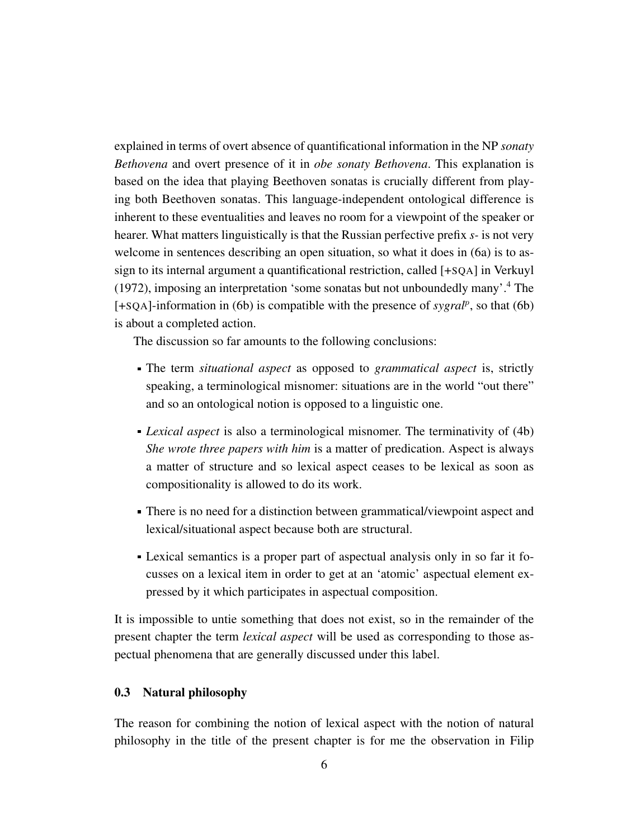explained in terms of overt absence of quantificational information in the NP *sonaty Bethovena* and overt presence of it in *obe sonaty Bethovena*. This explanation is based on the idea that playing Beethoven sonatas is crucially different from playing both Beethoven sonatas. This language-independent ontological difference is inherent to these eventualities and leaves no room for a viewpoint of the speaker or hearer. What matters linguistically is that the Russian perfective prefix *s-* is not very welcome in sentences describing an open situation, so what it does in (6a) is to assign to its internal argument a quantificational restriction, called [+SQA] in Verkuyl (1972), imposing an interpretation 'some sonatas but not unboundedly many'.<sup>4</sup> The [+SQA]-information in (6b) is compatible with the presence of *sygral<sup>p</sup>*, so that (6b) is about a completed action.

The discussion so far amounts to the following conclusions:

- The term *situational aspect* as opposed to *grammatical aspect* is, strictly speaking, a terminological misnomer: situations are in the world "out there" and so an ontological notion is opposed to a linguistic one.
- *Lexical aspect* is also a terminological misnomer. The terminativity of (4b) *She wrote three papers with him* is a matter of predication. Aspect is always a matter of structure and so lexical aspect ceases to be lexical as soon as compositionality is allowed to do its work.
- There is no need for a distinction between grammatical/viewpoint aspect and lexical/situational aspect because both are structural.
- Lexical semantics is a proper part of aspectual analysis only in so far it focusses on a lexical item in order to get at an 'atomic' aspectual element expressed by it which participates in aspectual composition.

It is impossible to untie something that does not exist, so in the remainder of the present chapter the term *lexical aspect* will be used as corresponding to those aspectual phenomena that are generally discussed under this label.

### 0.3 Natural philosophy

The reason for combining the notion of lexical aspect with the notion of natural philosophy in the title of the present chapter is for me the observation in Filip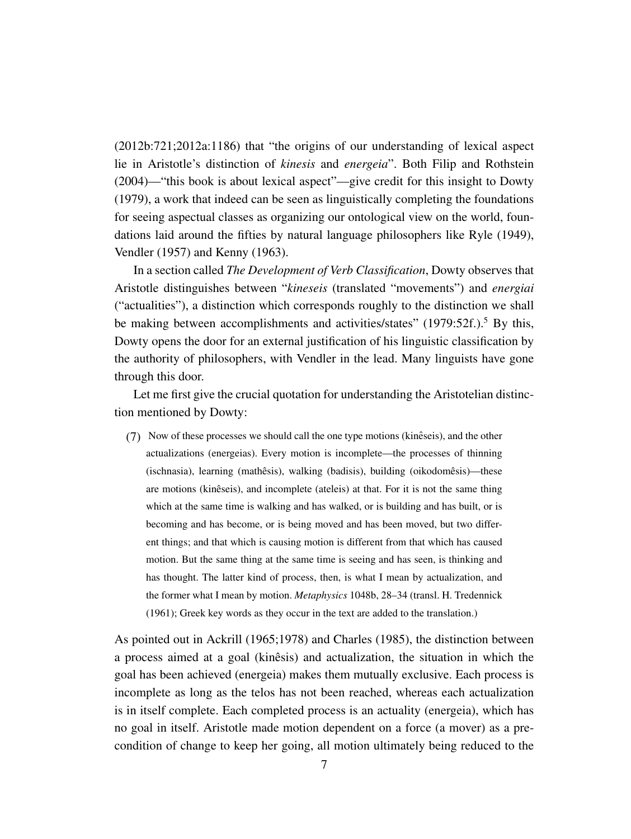(2012b:721;2012a:1186) that "the origins of our understanding of lexical aspect lie in Aristotle's distinction of *kinesis* and *energeia*". Both Filip and Rothstein (2004)—"this book is about lexical aspect"—give credit for this insight to Dowty (1979), a work that indeed can be seen as linguistically completing the foundations for seeing aspectual classes as organizing our ontological view on the world, foundations laid around the fifties by natural language philosophers like Ryle (1949), Vendler (1957) and Kenny (1963).

In a section called *The Development of Verb Classification*, Dowty observes that Aristotle distinguishes between "*kineseis* (translated "movements") and *energiai* ("actualities"), a distinction which corresponds roughly to the distinction we shall be making between accomplishments and activities/states" (1979:52f.).<sup>5</sup> By this, Dowty opens the door for an external justification of his linguistic classification by the authority of philosophers, with Vendler in the lead. Many linguists have gone through this door.

Let me first give the crucial quotation for understanding the Aristotelian distinction mentioned by Dowty:

 $(7)$  Now of these processes we should call the one type motions (kineseis), and the other actualizations (energeias). Every motion is incomplete—the processes of thinning (ischnasia), learning (mathêsis), walking (badisis), building (oikodomêsis)—these are motions (kinêseis), and incomplete (ateleis) at that. For it is not the same thing which at the same time is walking and has walked, or is building and has built, or is becoming and has become, or is being moved and has been moved, but two different things; and that which is causing motion is different from that which has caused motion. But the same thing at the same time is seeing and has seen, is thinking and has thought. The latter kind of process, then, is what I mean by actualization, and the former what I mean by motion. *Metaphysics* 1048b, 28–34 (transl. H. Tredennick (1961); Greek key words as they occur in the text are added to the translation.)

As pointed out in Ackrill (1965;1978) and Charles (1985), the distinction between a process aimed at a goal (kinesis) and actualization, the situation in which the goal has been achieved (energeia) makes them mutually exclusive. Each process is incomplete as long as the telos has not been reached, whereas each actualization is in itself complete. Each completed process is an actuality (energeia), which has no goal in itself. Aristotle made motion dependent on a force (a mover) as a precondition of change to keep her going, all motion ultimately being reduced to the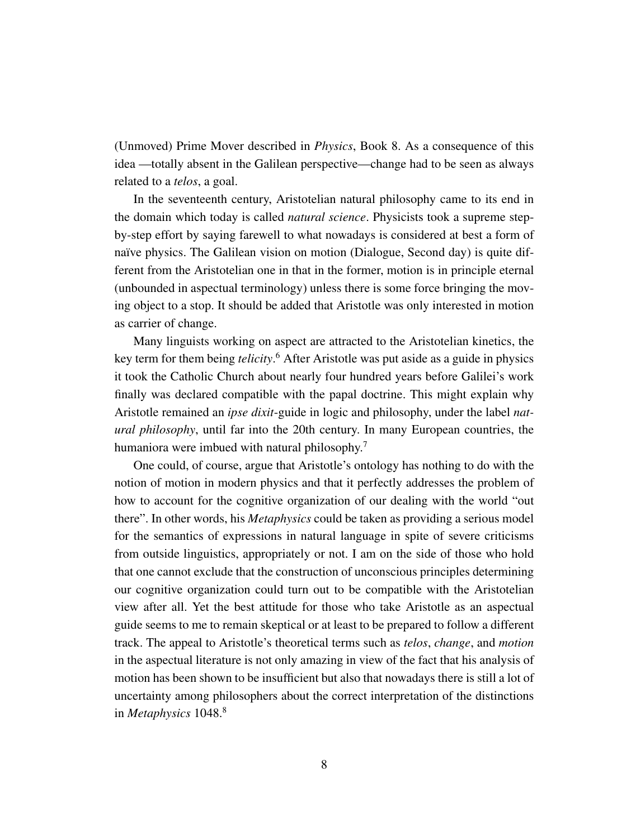(Unmoved) Prime Mover described in *Physics*, Book 8. As a consequence of this idea —totally absent in the Galilean perspective—change had to be seen as always related to a *telos*, a goal.

In the seventeenth century, Aristotelian natural philosophy came to its end in the domain which today is called *natural science*. Physicists took a supreme stepby-step effort by saying farewell to what nowadays is considered at best a form of naïve physics. The Galilean vision on motion (Dialogue, Second day) is quite different from the Aristotelian one in that in the former, motion is in principle eternal (unbounded in aspectual terminology) unless there is some force bringing the moving object to a stop. It should be added that Aristotle was only interested in motion as carrier of change.

Many linguists working on aspect are attracted to the Aristotelian kinetics, the key term for them being *telicity*. <sup>6</sup> After Aristotle was put aside as a guide in physics it took the Catholic Church about nearly four hundred years before Galilei's work finally was declared compatible with the papal doctrine. This might explain why Aristotle remained an *ipse dixit*-guide in logic and philosophy, under the label *natural philosophy*, until far into the 20th century. In many European countries, the humaniora were imbued with natural philosophy.<sup>7</sup>

One could, of course, argue that Aristotle's ontology has nothing to do with the notion of motion in modern physics and that it perfectly addresses the problem of how to account for the cognitive organization of our dealing with the world "out there". In other words, his *Metaphysics* could be taken as providing a serious model for the semantics of expressions in natural language in spite of severe criticisms from outside linguistics, appropriately or not. I am on the side of those who hold that one cannot exclude that the construction of unconscious principles determining our cognitive organization could turn out to be compatible with the Aristotelian view after all. Yet the best attitude for those who take Aristotle as an aspectual guide seems to me to remain skeptical or at least to be prepared to follow a different track. The appeal to Aristotle's theoretical terms such as *telos*, *change*, and *motion* in the aspectual literature is not only amazing in view of the fact that his analysis of motion has been shown to be insufficient but also that nowadays there is still a lot of uncertainty among philosophers about the correct interpretation of the distinctions in *Metaphysics* 1048.<sup>8</sup>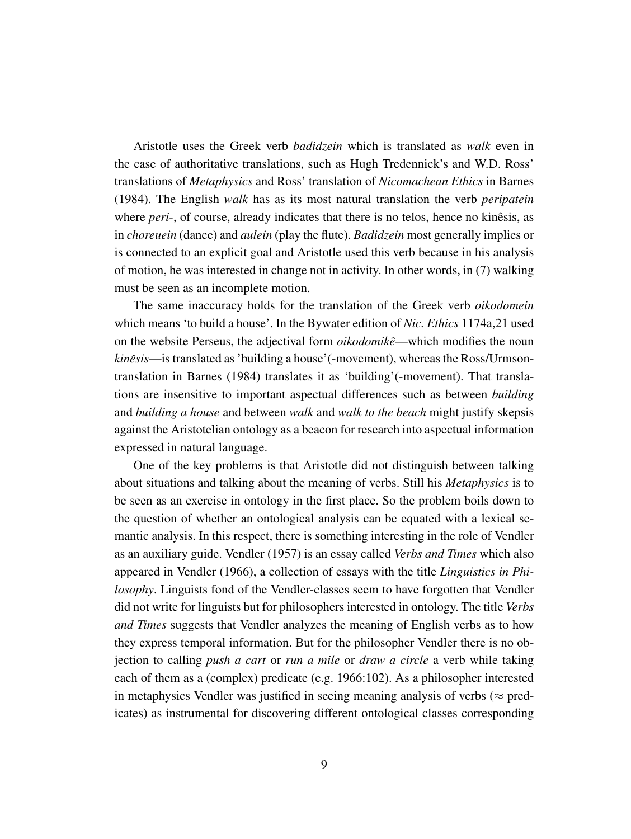Aristotle uses the Greek verb *badidzein* which is translated as *walk* even in the case of authoritative translations, such as Hugh Tredennick's and W.D. Ross' translations of *Metaphysics* and Ross' translation of *Nicomachean Ethics* in Barnes (1984). The English *walk* has as its most natural translation the verb *peripatein* where *peri*-, of course, already indicates that there is no telos, hence no kinesis, as in *choreuein* (dance) and *aulein* (play the flute). *Badidzein* most generally implies or is connected to an explicit goal and Aristotle used this verb because in his analysis of motion, he was interested in change not in activity. In other words, in (7) walking must be seen as an incomplete motion.

The same inaccuracy holds for the translation of the Greek verb *oikodomein* which means 'to build a house'. In the Bywater edition of *Nic. Ethics* 1174a,21 used on the website Perseus, the adjectival form *oikodomikeˆ*—which modifies the noun *kinêsis*—is translated as 'building a house'(-movement), whereas the Ross/Urmsontranslation in Barnes (1984) translates it as 'building'(-movement). That translations are insensitive to important aspectual differences such as between *building* and *building a house* and between *walk* and *walk to the beach* might justify skepsis against the Aristotelian ontology as a beacon for research into aspectual information expressed in natural language.

One of the key problems is that Aristotle did not distinguish between talking about situations and talking about the meaning of verbs. Still his *Metaphysics* is to be seen as an exercise in ontology in the first place. So the problem boils down to the question of whether an ontological analysis can be equated with a lexical semantic analysis. In this respect, there is something interesting in the role of Vendler as an auxiliary guide. Vendler (1957) is an essay called *Verbs and Times* which also appeared in Vendler (1966), a collection of essays with the title *Linguistics in Philosophy*. Linguists fond of the Vendler-classes seem to have forgotten that Vendler did not write for linguists but for philosophers interested in ontology. The title *Verbs and Times* suggests that Vendler analyzes the meaning of English verbs as to how they express temporal information. But for the philosopher Vendler there is no objection to calling *push a cart* or *run a mile* or *draw a circle* a verb while taking each of them as a (complex) predicate (e.g. 1966:102). As a philosopher interested in metaphysics Vendler was justified in seeing meaning analysis of verbs ( $\approx$  predicates) as instrumental for discovering different ontological classes corresponding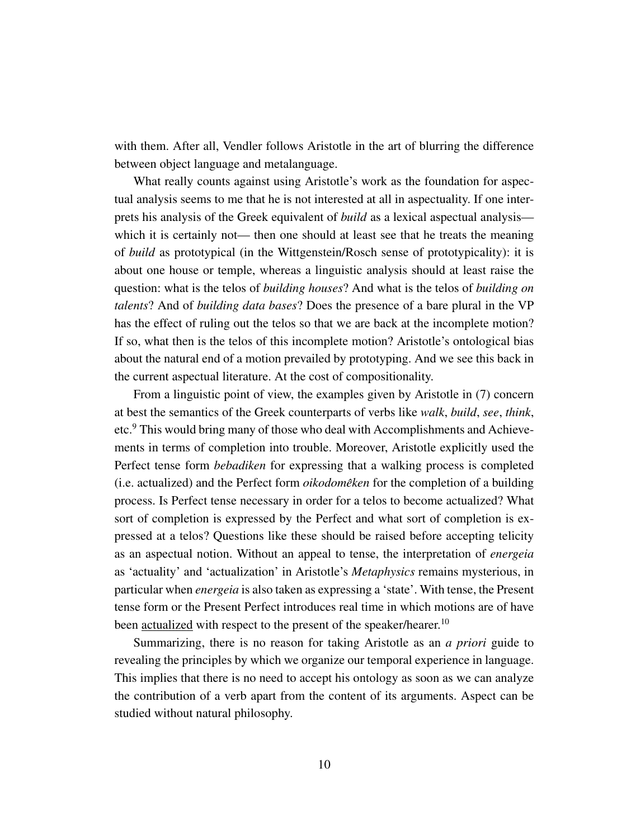with them. After all, Vendler follows Aristotle in the art of blurring the difference between object language and metalanguage.

What really counts against using Aristotle's work as the foundation for aspectual analysis seems to me that he is not interested at all in aspectuality. If one interprets his analysis of the Greek equivalent of *build* as a lexical aspectual analysis which it is certainly not— then one should at least see that he treats the meaning of *build* as prototypical (in the Wittgenstein/Rosch sense of prototypicality): it is about one house or temple, whereas a linguistic analysis should at least raise the question: what is the telos of *building houses*? And what is the telos of *building on talents*? And of *building data bases*? Does the presence of a bare plural in the VP has the effect of ruling out the telos so that we are back at the incomplete motion? If so, what then is the telos of this incomplete motion? Aristotle's ontological bias about the natural end of a motion prevailed by prototyping. And we see this back in the current aspectual literature. At the cost of compositionality.

From a linguistic point of view, the examples given by Aristotle in (7) concern at best the semantics of the Greek counterparts of verbs like *walk*, *build*, *see*, *think*, etc.<sup>9</sup> This would bring many of those who deal with Accomplishments and Achievements in terms of completion into trouble. Moreover, Aristotle explicitly used the Perfect tense form *bebadiken* for expressing that a walking process is completed (i.e. actualized) and the Perfect form *oikodomêken* for the completion of a building process. Is Perfect tense necessary in order for a telos to become actualized? What sort of completion is expressed by the Perfect and what sort of completion is expressed at a telos? Questions like these should be raised before accepting telicity as an aspectual notion. Without an appeal to tense, the interpretation of *energeia* as 'actuality' and 'actualization' in Aristotle's *Metaphysics* remains mysterious, in particular when *energeia* is also taken as expressing a 'state'. With tense, the Present tense form or the Present Perfect introduces real time in which motions are of have been actualized with respect to the present of the speaker/hearer.<sup>10</sup>

Summarizing, there is no reason for taking Aristotle as an *a priori* guide to revealing the principles by which we organize our temporal experience in language. This implies that there is no need to accept his ontology as soon as we can analyze the contribution of a verb apart from the content of its arguments. Aspect can be studied without natural philosophy.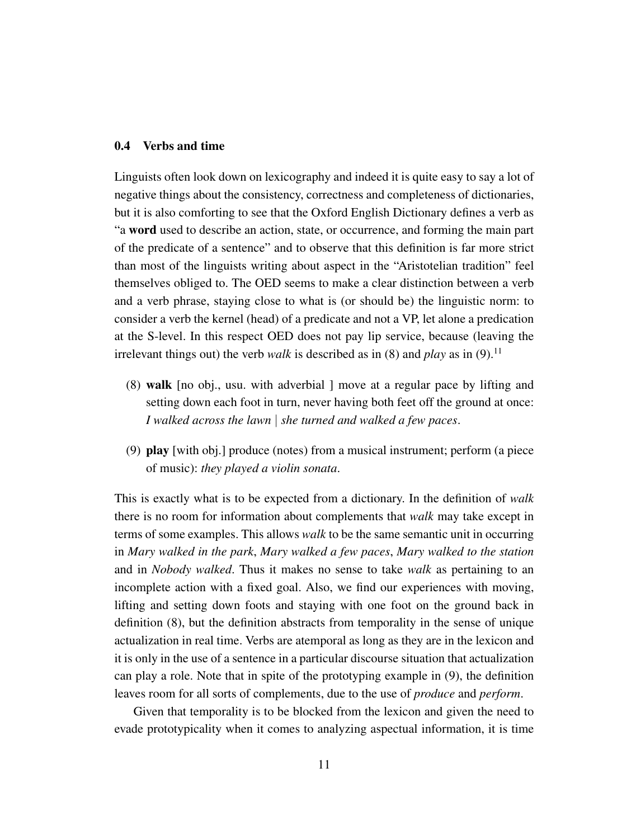## 0.4 Verbs and time

Linguists often look down on lexicography and indeed it is quite easy to say a lot of negative things about the consistency, correctness and completeness of dictionaries, but it is also comforting to see that the Oxford English Dictionary defines a verb as "a word used to describe an action, state, or occurrence, and forming the main part of the predicate of a sentence" and to observe that this definition is far more strict than most of the linguists writing about aspect in the "Aristotelian tradition" feel themselves obliged to. The OED seems to make a clear distinction between a verb and a verb phrase, staying close to what is (or should be) the linguistic norm: to consider a verb the kernel (head) of a predicate and not a VP, let alone a predication at the S-level. In this respect OED does not pay lip service, because (leaving the irrelevant things out) the verb *walk* is described as in (8) and *play* as in (9).<sup>11</sup>

- (8) walk [no obj., usu. with adverbial ] move at a regular pace by lifting and setting down each foot in turn, never having both feet off the ground at once: *I walked across the lawn* | *she turned and walked a few paces*.
- (9) play [with obj.] produce (notes) from a musical instrument; perform (a piece of music): *they played a violin sonata*.

This is exactly what is to be expected from a dictionary. In the definition of *walk* there is no room for information about complements that *walk* may take except in terms of some examples. This allows *walk* to be the same semantic unit in occurring in *Mary walked in the park*, *Mary walked a few paces*, *Mary walked to the station* and in *Nobody walked*. Thus it makes no sense to take *walk* as pertaining to an incomplete action with a fixed goal. Also, we find our experiences with moving, lifting and setting down foots and staying with one foot on the ground back in definition (8), but the definition abstracts from temporality in the sense of unique actualization in real time. Verbs are atemporal as long as they are in the lexicon and it is only in the use of a sentence in a particular discourse situation that actualization can play a role. Note that in spite of the prototyping example in (9), the definition leaves room for all sorts of complements, due to the use of *produce* and *perform*.

Given that temporality is to be blocked from the lexicon and given the need to evade prototypicality when it comes to analyzing aspectual information, it is time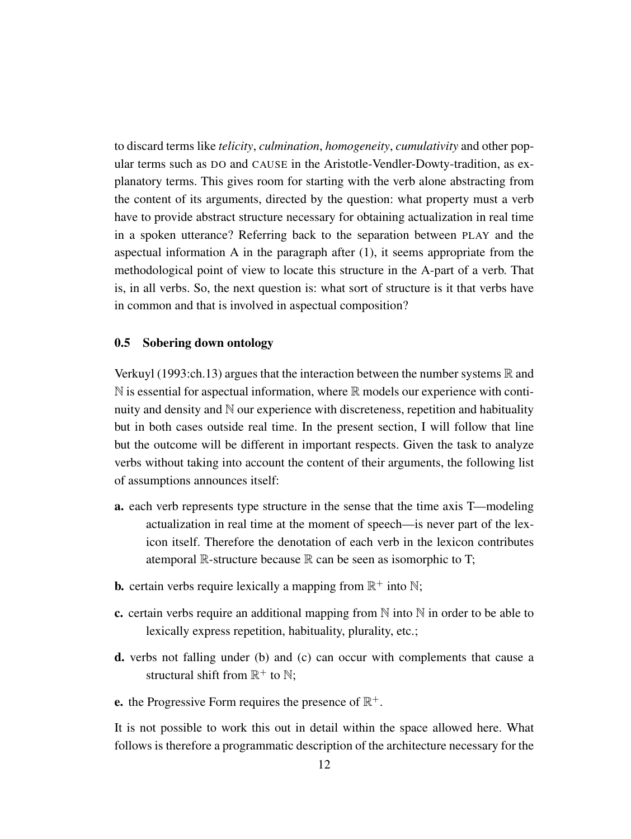to discard terms like *telicity*, *culmination*, *homogeneity*, *cumulativity* and other popular terms such as DO and CAUSE in the Aristotle-Vendler-Dowty-tradition, as explanatory terms. This gives room for starting with the verb alone abstracting from the content of its arguments, directed by the question: what property must a verb have to provide abstract structure necessary for obtaining actualization in real time in a spoken utterance? Referring back to the separation between PLAY and the aspectual information A in the paragraph after (1), it seems appropriate from the methodological point of view to locate this structure in the A-part of a verb. That is, in all verbs. So, the next question is: what sort of structure is it that verbs have in common and that is involved in aspectual composition?

# 0.5 Sobering down ontology

Verkuyl (1993:ch.13) argues that the interaction between the number systems  $\mathbb R$  and  $\mathbb N$  is essential for aspectual information, where  $\mathbb R$  models our experience with continuity and density and N our experience with discreteness, repetition and habituality but in both cases outside real time. In the present section, I will follow that line but the outcome will be different in important respects. Given the task to analyze verbs without taking into account the content of their arguments, the following list of assumptions announces itself:

- a. each verb represents type structure in the sense that the time axis T—modeling actualization in real time at the moment of speech—is never part of the lexicon itself. Therefore the denotation of each verb in the lexicon contributes atemporal  $\mathbb R$ -structure because  $\mathbb R$  can be seen as isomorphic to T;
- **b.** certain verbs require lexically a mapping from  $\mathbb{R}^+$  into  $\mathbb{N}$ ;
- c. certain verbs require an additional mapping from  $\mathbb N$  into  $\mathbb N$  in order to be able to lexically express repetition, habituality, plurality, etc.;
- d. verbs not falling under (b) and (c) can occur with complements that cause a structural shift from  $\mathbb{R}^+$  to  $\mathbb{N}$ ;
- e. the Progressive Form requires the presence of  $\mathbb{R}^+$ .

It is not possible to work this out in detail within the space allowed here. What follows is therefore a programmatic description of the architecture necessary for the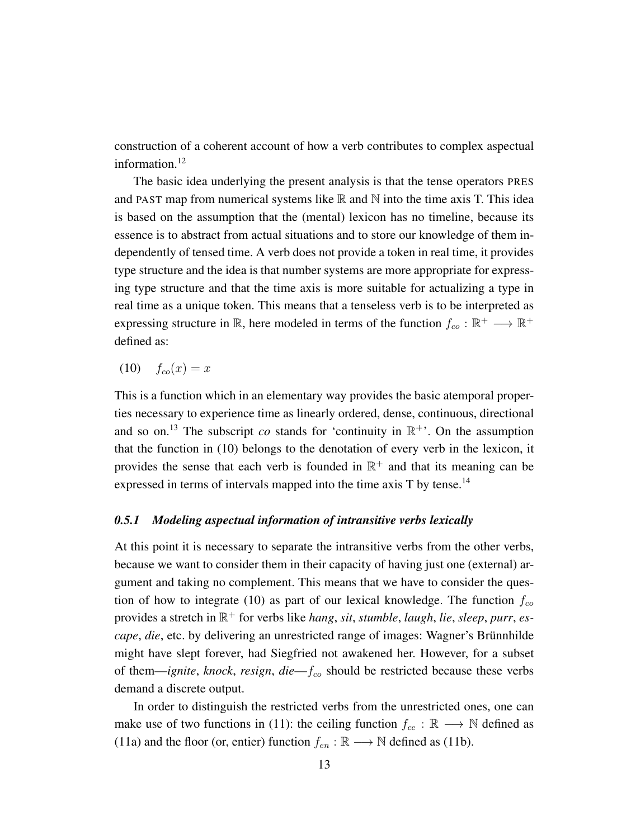construction of a coherent account of how a verb contributes to complex aspectual information.<sup>12</sup>

The basic idea underlying the present analysis is that the tense operators PRES and PAST map from numerical systems like  $\mathbb R$  and  $\mathbb N$  into the time axis T. This idea is based on the assumption that the (mental) lexicon has no timeline, because its essence is to abstract from actual situations and to store our knowledge of them independently of tensed time. A verb does not provide a token in real time, it provides type structure and the idea is that number systems are more appropriate for expressing type structure and that the time axis is more suitable for actualizing a type in real time as a unique token. This means that a tenseless verb is to be interpreted as expressing structure in  $\mathbb R$ , here modeled in terms of the function  $f_{co}: \mathbb R^+ \longrightarrow \mathbb R^+$ defined as:

(10)  $f_{co}(x) = x$ 

This is a function which in an elementary way provides the basic atemporal properties necessary to experience time as linearly ordered, dense, continuous, directional and so on.<sup>13</sup> The subscript *co* stands for 'continuity in  $\mathbb{R}^+$ '. On the assumption that the function in (10) belongs to the denotation of every verb in the lexicon, it provides the sense that each verb is founded in  $\mathbb{R}^+$  and that its meaning can be expressed in terms of intervals mapped into the time axis  $T$  by tense.<sup>14</sup>

# *0.5.1 Modeling aspectual information of intransitive verbs lexically*

At this point it is necessary to separate the intransitive verbs from the other verbs, because we want to consider them in their capacity of having just one (external) argument and taking no complement. This means that we have to consider the question of how to integrate (10) as part of our lexical knowledge. The function  $f_{co}$ provides a stretch in R <sup>+</sup> for verbs like *hang*, *sit*, *stumble*, *laugh*, *lie*, *sleep*, *purr*, *escape*, *die*, etc. by delivering an unrestricted range of images: Wagner's Brünnhilde might have slept forever, had Siegfried not awakened her. However, for a subset of them—*ignite*, *knock*, *resign*,  $die - f_{co}$  should be restricted because these verbs demand a discrete output.

In order to distinguish the restricted verbs from the unrestricted ones, one can make use of two functions in (11): the ceiling function  $f_{ce} : \mathbb{R} \longrightarrow \mathbb{N}$  defined as (11a) and the floor (or, entier) function  $f_{en} : \mathbb{R} \longrightarrow \mathbb{N}$  defined as (11b).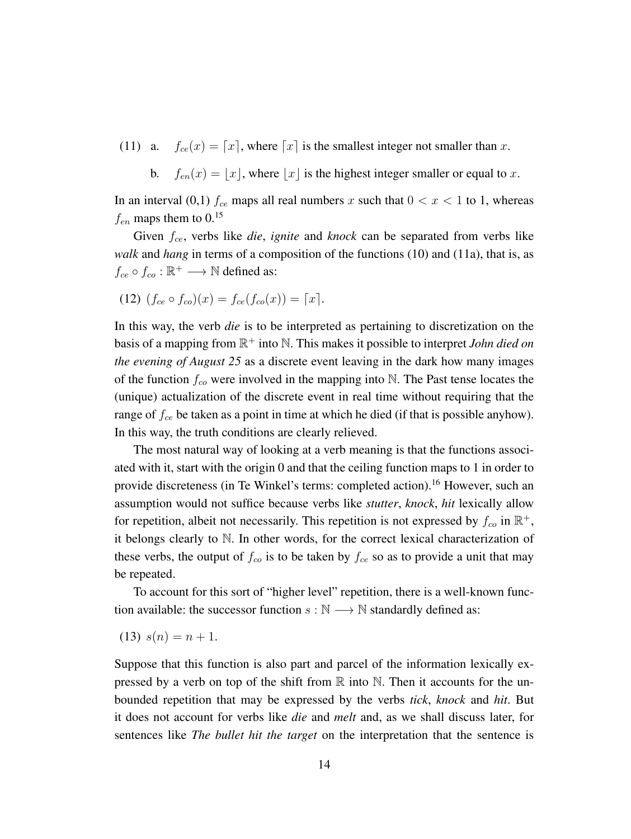(11) a.  $f_{ce}(x) = \lfloor x \rfloor$ , where  $\lfloor x \rfloor$  is the smallest integer not smaller than x.

b. 
$$
f_{en}(x) = \lfloor x \rfloor
$$
, where  $\lfloor x \rfloor$  is the highest integer smaller or equal to x.

In an interval (0,1)  $f_{ce}$  maps all real numbers x such that  $0 < x < 1$  to 1, whereas  $f_{en}$  maps them to 0.<sup>15</sup>

Given  $f_{ce}$ , verbs like *die*, *ignite* and *knock* can be separated from verbs like *walk* and *hang* in terms of a composition of the functions (10) and (11a), that is, as  $f_{ce} \circ f_{co} : \mathbb{R}^+ \longrightarrow \mathbb{N}$  defined as:

(12) 
$$
(f_{ce} \circ f_{co})(x) = f_{ce}(f_{co}(x)) = \lceil x \rceil
$$
.

In this way, the verb *die* is to be interpreted as pertaining to discretization on the basis of a mapping from R <sup>+</sup> into N. This makes it possible to interpret *John died on the evening of August 25* as a discrete event leaving in the dark how many images of the function  $f_{co}$  were involved in the mapping into N. The Past tense locates the (unique) actualization of the discrete event in real time without requiring that the range of  $f_{ce}$  be taken as a point in time at which he died (if that is possible anyhow). In this way, the truth conditions are clearly relieved.

The most natural way of looking at a verb meaning is that the functions associated with it, start with the origin 0 and that the ceiling function maps to 1 in order to provide discreteness (in Te Winkel's terms: completed action).<sup>16</sup> However, such an assumption would not suffice because verbs like *stutter*, *knock*, *hit* lexically allow for repetition, albeit not necessarily. This repetition is not expressed by  $f_{co}$  in  $\mathbb{R}^+$ , it belongs clearly to N. In other words, for the correct lexical characterization of these verbs, the output of  $f_{co}$  is to be taken by  $f_{ce}$  so as to provide a unit that may be repeated.

To account for this sort of "higher level" repetition, there is a well-known function available: the successor function  $s : \mathbb{N} \longrightarrow \mathbb{N}$  standardly defined as:

(13)  $s(n) = n + 1$ .

Suppose that this function is also part and parcel of the information lexically expressed by a verb on top of the shift from  $\mathbb R$  into  $\mathbb N$ . Then it accounts for the unbounded repetition that may be expressed by the verbs *tick*, *knock* and *hit*. But it does not account for verbs like *die* and *melt* and, as we shall discuss later, for sentences like *The bullet hit the target* on the interpretation that the sentence is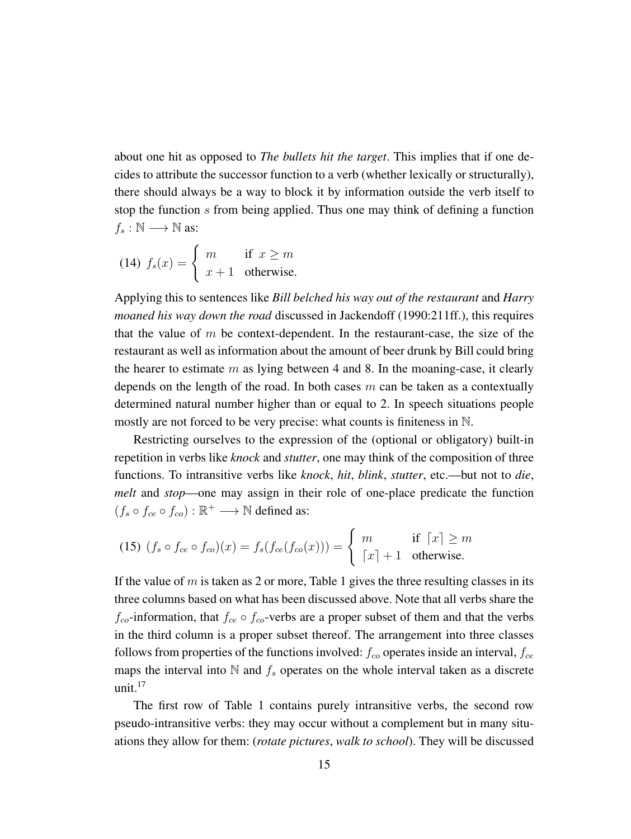about one hit as opposed to *The bullets hit the target*. This implies that if one decides to attribute the successor function to a verb (whether lexically or structurally), there should always be a way to block it by information outside the verb itself to stop the function s from being applied. Thus one may think of defining a function  $f_s : \mathbb{N} \longrightarrow \mathbb{N}$  as:

(14) 
$$
f_s(x) = \begin{cases} m & \text{if } x \ge m \\ x+1 & \text{otherwise.} \end{cases}
$$

Applying this to sentences like *Bill belched his way out of the restaurant* and *Harry moaned his way down the road* discussed in Jackendoff (1990:211ff.), this requires that the value of  $m$  be context-dependent. In the restaurant-case, the size of the restaurant as well as information about the amount of beer drunk by Bill could bring the hearer to estimate m as lying between 4 and 8. In the moaning-case, it clearly depends on the length of the road. In both cases  $m$  can be taken as a contextually determined natural number higher than or equal to 2. In speech situations people mostly are not forced to be very precise: what counts is finiteness in N.

Restricting ourselves to the expression of the (optional or obligatory) built-in repetition in verbs like *knock* and *stutter*, one may think of the composition of three functions. To intransitive verbs like *knock*, *hit*, *blink*, *stutter*, etc.—but not to *die*, *melt* and *stop*—one may assign in their role of one-place predicate the function  $(f_s \circ f_{ce} \circ f_{co}) : \mathbb{R}^+ \longrightarrow \mathbb{N}$  defined as:

(15) 
$$
(f_s \circ f_{ce} \circ f_{co})(x) = f_s(f_{ce}(f_{co}(x))) = \begin{cases} m & \text{if } |x| \ge m \\ |x| + 1 & \text{otherwise.} \end{cases}
$$

If the value of m is taken as 2 or more, Table 1 gives the three resulting classes in its three columns based on what has been discussed above. Note that all verbs share the  $f_{co}$ -information, that  $f_{ce} \circ f_{co}$ -verbs are a proper subset of them and that the verbs in the third column is a proper subset thereof. The arrangement into three classes follows from properties of the functions involved:  $f_{co}$  operates inside an interval,  $f_{ce}$ maps the interval into  $\mathbb N$  and  $f_s$  operates on the whole interval taken as a discrete unit. $17$ 

The first row of Table 1 contains purely intransitive verbs, the second row pseudo-intransitive verbs: they may occur without a complement but in many situations they allow for them: (*rotate pictures*, *walk to school*). They will be discussed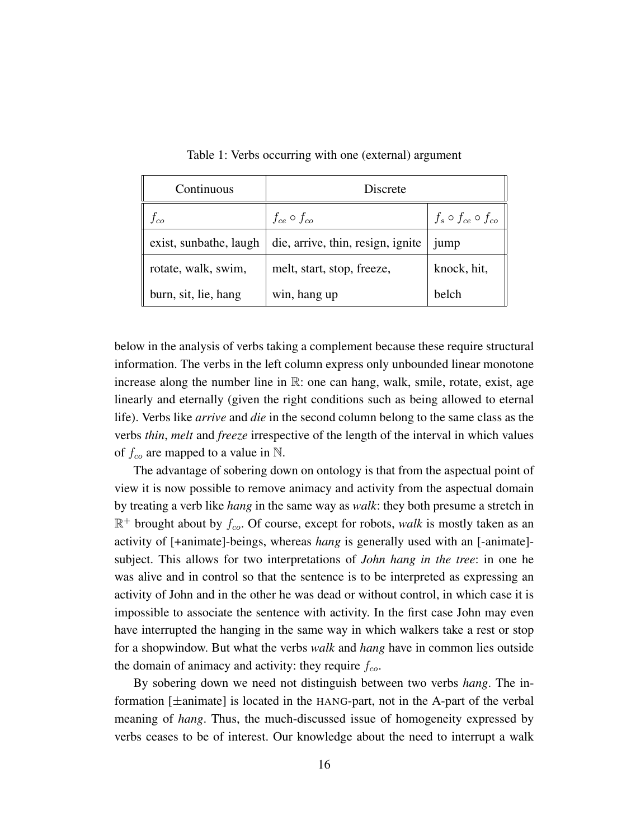| Continuous             | Discrete                          |                                 |
|------------------------|-----------------------------------|---------------------------------|
| $f_{co}$               | $f_{ce} \circ f_{co}$             | $f_s \circ f_{ce} \circ f_{co}$ |
| exist, sunbathe, laugh | die, arrive, thin, resign, ignite | jump                            |
| rotate, walk, swim,    | melt, start, stop, freeze,        | knock, hit,                     |
| burn, sit, lie, hang   | win, hang up                      | belch                           |

Table 1: Verbs occurring with one (external) argument

below in the analysis of verbs taking a complement because these require structural information. The verbs in the left column express only unbounded linear monotone increase along the number line in  $\mathbb{R}$ : one can hang, walk, smile, rotate, exist, age linearly and eternally (given the right conditions such as being allowed to eternal life). Verbs like *arrive* and *die* in the second column belong to the same class as the verbs *thin*, *melt* and *freeze* irrespective of the length of the interval in which values of  $f_{co}$  are mapped to a value in N.

The advantage of sobering down on ontology is that from the aspectual point of view it is now possible to remove animacy and activity from the aspectual domain by treating a verb like *hang* in the same way as *walk*: they both presume a stretch in  $\mathbb{R}^+$  brought about by  $f_{co}$ . Of course, except for robots, *walk* is mostly taken as an activity of [+animate]-beings, whereas *hang* is generally used with an [-animate] subject. This allows for two interpretations of *John hang in the tree*: in one he was alive and in control so that the sentence is to be interpreted as expressing an activity of John and in the other he was dead or without control, in which case it is impossible to associate the sentence with activity. In the first case John may even have interrupted the hanging in the same way in which walkers take a rest or stop for a shopwindow. But what the verbs *walk* and *hang* have in common lies outside the domain of animacy and activity: they require  $f_{co}$ .

By sobering down we need not distinguish between two verbs *hang*. The information [±animate] is located in the HANG-part, not in the A-part of the verbal meaning of *hang*. Thus, the much-discussed issue of homogeneity expressed by verbs ceases to be of interest. Our knowledge about the need to interrupt a walk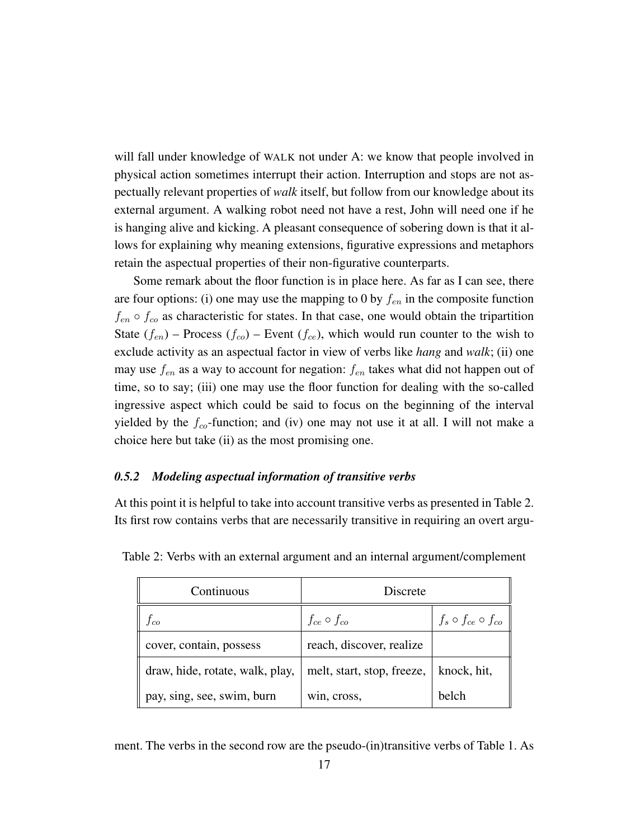will fall under knowledge of WALK not under A: we know that people involved in physical action sometimes interrupt their action. Interruption and stops are not aspectually relevant properties of *walk* itself, but follow from our knowledge about its external argument. A walking robot need not have a rest, John will need one if he is hanging alive and kicking. A pleasant consequence of sobering down is that it allows for explaining why meaning extensions, figurative expressions and metaphors retain the aspectual properties of their non-figurative counterparts.

Some remark about the floor function is in place here. As far as I can see, there are four options: (i) one may use the mapping to 0 by  $f_{en}$  in the composite function  $f_{en} \circ f_{co}$  as characteristic for states. In that case, one would obtain the tripartition State  $(f_{en})$  – Process  $(f_{co})$  – Event  $(f_{ce})$ , which would run counter to the wish to exclude activity as an aspectual factor in view of verbs like *hang* and *walk*; (ii) one may use  $f_{en}$  as a way to account for negation:  $f_{en}$  takes what did not happen out of time, so to say; (iii) one may use the floor function for dealing with the so-called ingressive aspect which could be said to focus on the beginning of the interval yielded by the  $f_{co}$ -function; and (iv) one may not use it at all. I will not make a choice here but take (ii) as the most promising one.

### *0.5.2 Modeling aspectual information of transitive verbs*

At this point it is helpful to take into account transitive verbs as presented in Table 2. Its first row contains verbs that are necessarily transitive in requiring an overt argu-

| Continuous                      | Discrete                   |                                 |  |
|---------------------------------|----------------------------|---------------------------------|--|
| t co                            | $f_{ce} \circ f_{co}$      | $f_s \circ f_{ce} \circ f_{co}$ |  |
| cover, contain, possess         | reach, discover, realize   |                                 |  |
| draw, hide, rotate, walk, play, | melt, start, stop, freeze, | knock, hit,                     |  |
| pay, sing, see, swim, burn      | win, cross,                | belch                           |  |

Table 2: Verbs with an external argument and an internal argument/complement

ment. The verbs in the second row are the pseudo-(in)transitive verbs of Table 1. As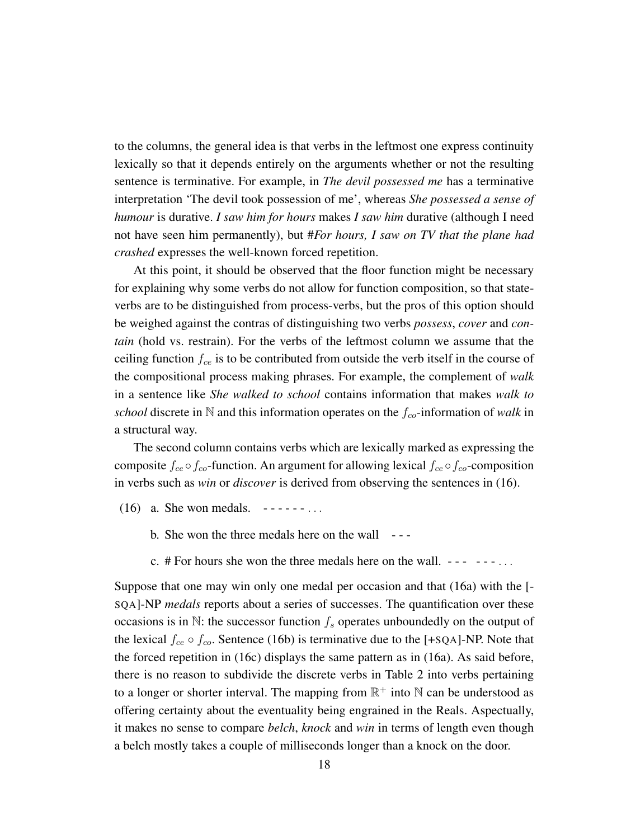to the columns, the general idea is that verbs in the leftmost one express continuity lexically so that it depends entirely on the arguments whether or not the resulting sentence is terminative. For example, in *The devil possessed me* has a terminative interpretation 'The devil took possession of me', whereas *She possessed a sense of humour* is durative. *I saw him for hours* makes *I saw him* durative (although I need not have seen him permanently), but #*For hours, I saw on TV that the plane had crashed* expresses the well-known forced repetition.

At this point, it should be observed that the floor function might be necessary for explaining why some verbs do not allow for function composition, so that stateverbs are to be distinguished from process-verbs, but the pros of this option should be weighed against the contras of distinguishing two verbs *possess*, *cover* and *contain* (hold vs. restrain). For the verbs of the leftmost column we assume that the ceiling function  $f_{ce}$  is to be contributed from outside the verb itself in the course of the compositional process making phrases. For example, the complement of *walk* in a sentence like *She walked to school* contains information that makes *walk to school* discrete in  $\mathbb N$  and this information operates on the  $f_{co}$ -information of *walk* in a structural way.

The second column contains verbs which are lexically marked as expressing the composite  $f_{ce} \circ f_{co}$ -function. An argument for allowing lexical  $f_{ce} \circ f_{co}$ -composition in verbs such as *win* or *discover* is derived from observing the sentences in (16).

- (16) a. She won medals.  $\cdots$ 
	- b. She won the three medals here on the wall ---
	- c.  $#$  For hours she won the three medals here on the wall.  $---$ ...

Suppose that one may win only one medal per occasion and that (16a) with the [- SQA]-NP *medals* reports about a series of successes. The quantification over these occasions is in  $\mathbb{N}$ : the successor function  $f_s$  operates unboundedly on the output of the lexical  $f_{ce} \circ f_{co}$ . Sentence (16b) is terminative due to the [+SQA]-NP. Note that the forced repetition in (16c) displays the same pattern as in (16a). As said before, there is no reason to subdivide the discrete verbs in Table 2 into verbs pertaining to a longer or shorter interval. The mapping from  $\mathbb{R}^+$  into N can be understood as offering certainty about the eventuality being engrained in the Reals. Aspectually, it makes no sense to compare *belch*, *knock* and *win* in terms of length even though a belch mostly takes a couple of milliseconds longer than a knock on the door.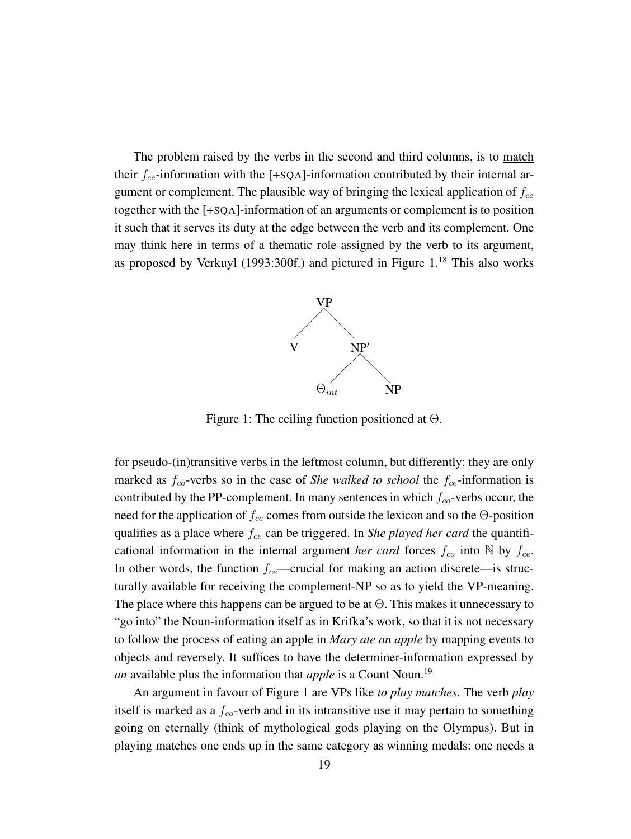The problem raised by the verbs in the second and third columns, is to match their  $f_{ce}$ -information with the [+SQA]-information contributed by their internal argument or complement. The plausible way of bringing the lexical application of  $f_{ce}$ together with the [+SQA]-information of an arguments or complement is to position it such that it serves its duty at the edge between the verb and its complement. One may think here in terms of a thematic role assigned by the verb to its argument, as proposed by Verkuyl (1993:300f.) and pictured in Figure 1.<sup>18</sup> This also works



Figure 1: The ceiling function positioned at  $\Theta$ .

for pseudo-(in)transitive verbs in the leftmost column, but differently: they are only marked as  $f_{co}$ -verbs so in the case of *She walked to school* the  $f_{ce}$ -information is contributed by the PP-complement. In many sentences in which  $f_{co}$ -verbs occur, the need for the application of  $f_{ce}$  comes from outside the lexicon and so the Θ-position qualifies as a place where  $f_{ce}$  can be triggered. In *She played her card* the quantificational information in the internal argument *her card* forces  $f_{co}$  into N by  $f_{ce}$ . In other words, the function  $f_{ce}$ —crucial for making an action discrete—is structurally available for receiving the complement-NP so as to yield the VP-meaning. The place where this happens can be argued to be at  $\Theta$ . This makes it unnecessary to "go into" the Noun-information itself as in Krifka's work, so that it is not necessary to follow the process of eating an apple in *Mary ate an apple* by mapping events to objects and reversely. It suffices to have the determiner-information expressed by *an* available plus the information that *apple* is a Count Noun.<sup>19</sup>

An argument in favour of Figure 1 are VPs like *to play matches*. The verb *play* itself is marked as a  $f_{co}$ -verb and in its intransitive use it may pertain to something going on eternally (think of mythological gods playing on the Olympus). But in playing matches one ends up in the same category as winning medals: one needs a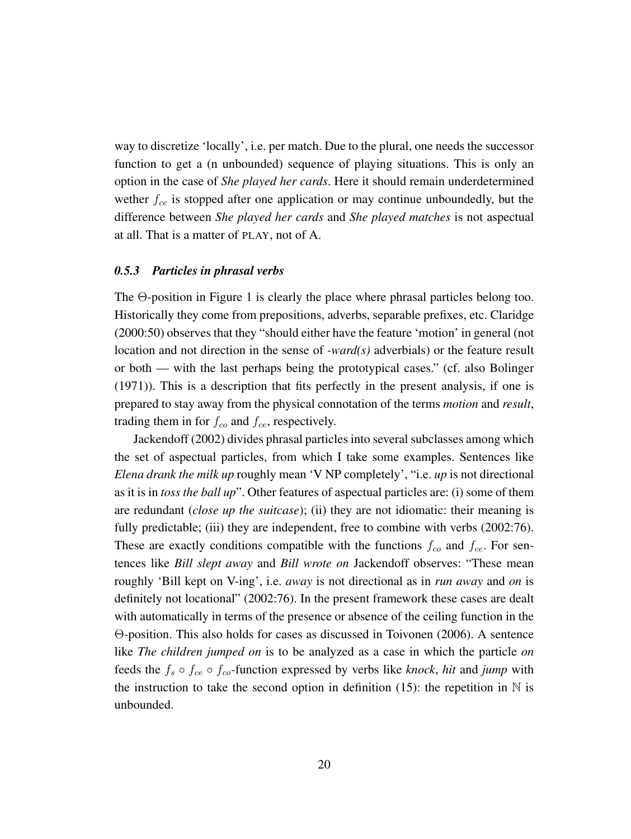way to discretize 'locally', i.e. per match. Due to the plural, one needs the successor function to get a (n unbounded) sequence of playing situations. This is only an option in the case of *She played her cards*. Here it should remain underdetermined wether  $f_{ce}$  is stopped after one application or may continue unboundedly, but the difference between *She played her cards* and *She played matches* is not aspectual at all. That is a matter of PLAY, not of A.

#### *0.5.3 Particles in phrasal verbs*

The Θ-position in Figure 1 is clearly the place where phrasal particles belong too. Historically they come from prepositions, adverbs, separable prefixes, etc. Claridge (2000:50) observes that they "should either have the feature 'motion' in general (not location and not direction in the sense of *-ward(s)* adverbials) or the feature result or both — with the last perhaps being the prototypical cases." (cf. also Bolinger (1971)). This is a description that fits perfectly in the present analysis, if one is prepared to stay away from the physical connotation of the terms *motion* and *result*, trading them in for  $f_{co}$  and  $f_{ce}$ , respectively.

Jackendoff (2002) divides phrasal particles into several subclasses among which the set of aspectual particles, from which I take some examples. Sentences like *Elena drank the milk up* roughly mean 'V NP completely', "i.e. *up* is not directional as it is in *toss the ball up*". Other features of aspectual particles are: (i) some of them are redundant (*close up the suitcase*); (ii) they are not idiomatic: their meaning is fully predictable; (iii) they are independent, free to combine with verbs (2002:76). These are exactly conditions compatible with the functions  $f_{co}$  and  $f_{ce}$ . For sentences like *Bill slept away* and *Bill wrote on* Jackendoff observes: "These mean roughly 'Bill kept on V-ing', i.e. *away* is not directional as in *run away* and *on* is definitely not locational" (2002:76). In the present framework these cases are dealt with automatically in terms of the presence or absence of the ceiling function in the Θ-position. This also holds for cases as discussed in Toivonen (2006). A sentence like *The children jumped on* is to be analyzed as a case in which the particle *on* feeds the  $f_s \circ f_{ce} \circ f_{co}$ -function expressed by verbs like *knock*, *hit* and *jump* with the instruction to take the second option in definition (15): the repetition in  $\mathbb N$  is unbounded.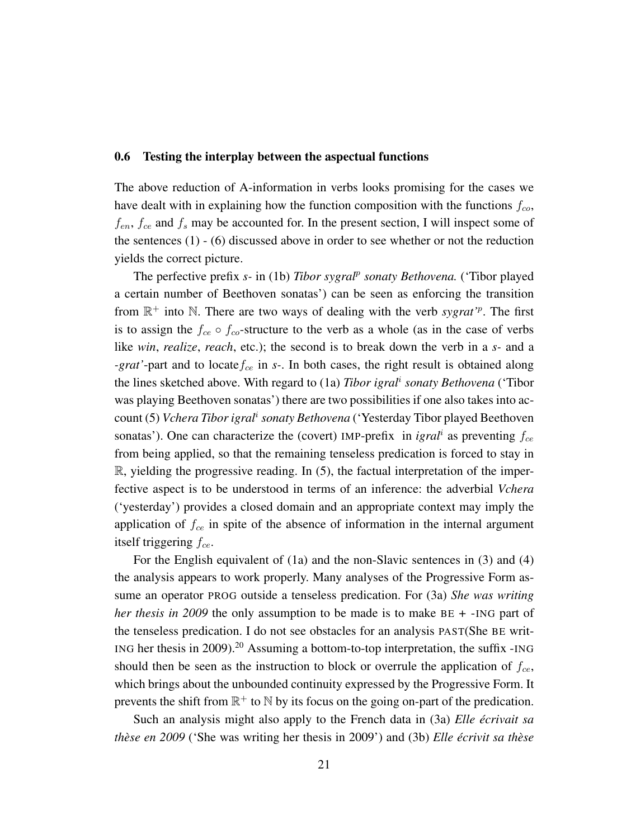#### 0.6 Testing the interplay between the aspectual functions

The above reduction of A-information in verbs looks promising for the cases we have dealt with in explaining how the function composition with the functions  $f_{co}$ ,  $f_{en}$ ,  $f_{ce}$  and  $f_s$  may be accounted for. In the present section, I will inspect some of the sentences (1) - (6) discussed above in order to see whether or not the reduction yields the correct picture.

The perfective prefix *s*- in (1b) *Tibor sygral<sup>p</sup> sonaty Bethovena*. ('Tibor played a certain number of Beethoven sonatas') can be seen as enforcing the transition from  $\mathbb{R}^+$  into N. There are two ways of dealing with the verb *sygrat*<sup>'p</sup>. The first is to assign the  $f_{ce} \circ f_{co}$ -structure to the verb as a whole (as in the case of verbs like *win*, *realize*, *reach*, etc.); the second is to break down the verb in a *s-* and a *-grat'*-part and to locate  $f_{ce}$  in *s*-. In both cases, the right result is obtained along the lines sketched above. With regard to (1a) *Tibor igral*<sup>i</sup> *sonaty Bethovena* ('Tibor was playing Beethoven sonatas') there are two possibilities if one also takes into account (5) *Vchera Tibor igral*<sup>i</sup> *sonaty Bethovena* ('Yesterday Tibor played Beethoven sonatas'). One can characterize the (covert) IMP-prefix in *igral*<sup>*i*</sup> as preventing  $f_{ce}$ from being applied, so that the remaining tenseless predication is forced to stay in R, yielding the progressive reading. In (5), the factual interpretation of the imperfective aspect is to be understood in terms of an inference: the adverbial *Vchera* ('yesterday') provides a closed domain and an appropriate context may imply the application of  $f_{ce}$  in spite of the absence of information in the internal argument itself triggering  $f_{ce}$ .

For the English equivalent of (1a) and the non-Slavic sentences in (3) and (4) the analysis appears to work properly. Many analyses of the Progressive Form assume an operator PROG outside a tenseless predication. For (3a) *She was writing her thesis in 2009* the only assumption to be made is to make BE + -ING part of the tenseless predication. I do not see obstacles for an analysis PAST(She BE writ-ING her thesis in 2009).<sup>20</sup> Assuming a bottom-to-top interpretation, the suffix -ING should then be seen as the instruction to block or overrule the application of  $f_{ce}$ , which brings about the unbounded continuity expressed by the Progressive Form. It prevents the shift from  $\mathbb{R}^+$  to  $\mathbb N$  by its focus on the going on-part of the predication.

Such an analysis might also apply to the French data in (3a) *Elle ecrivait sa ´ thèse en 2009* ('She was writing her thesis in 2009') and (3b) *Elle écrivit sa thèse*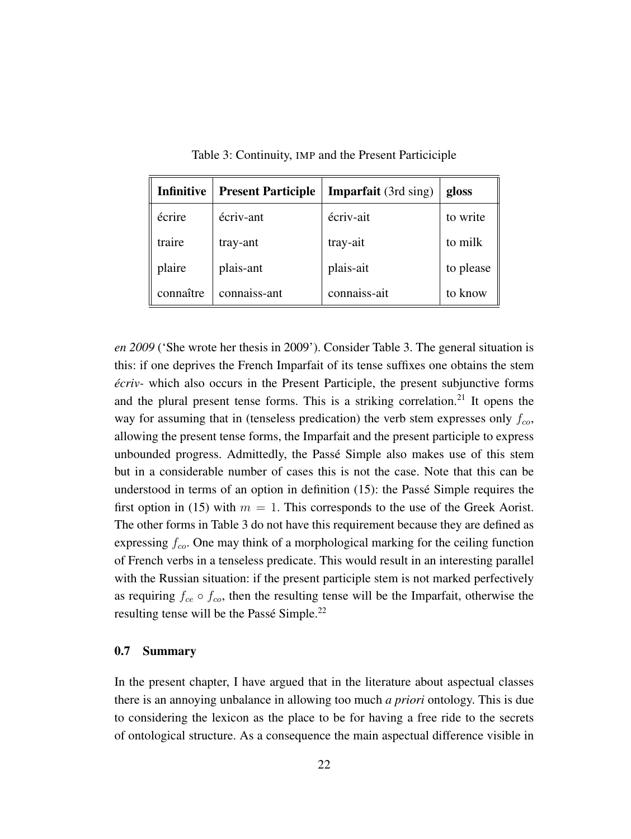| <b>Infinitive</b> | <b>Present Participle</b> | <b>Imparfait</b> (3rd sing) | gloss     |
|-------------------|---------------------------|-----------------------------|-----------|
| écrire            | écriv-ant                 | écriv-ait                   | to write  |
| traire            | tray-ant                  | tray-ait                    | to milk   |
| plaire            | plais-ant                 | plais-ait                   | to please |
| connaître         | connaiss-ant              | connaiss-ait                | to know   |

Table 3: Continuity, IMP and the Present Particiciple

*en 2009* ('She wrote her thesis in 2009'). Consider Table 3. The general situation is this: if one deprives the French Imparfait of its tense suffixes one obtains the stem *écriv*- which also occurs in the Present Participle, the present subjunctive forms and the plural present tense forms. This is a striking correlation.<sup>21</sup> It opens the way for assuming that in (tenseless predication) the verb stem expresses only  $f_{co}$ , allowing the present tense forms, the Imparfait and the present participle to express unbounded progress. Admittedly, the Passe Simple also makes use of this stem ´ but in a considerable number of cases this is not the case. Note that this can be understood in terms of an option in definition  $(15)$ : the Passé Simple requires the first option in (15) with  $m = 1$ . This corresponds to the use of the Greek Aorist. The other forms in Table 3 do not have this requirement because they are defined as expressing  $f_{co}$ . One may think of a morphological marking for the ceiling function of French verbs in a tenseless predicate. This would result in an interesting parallel with the Russian situation: if the present participle stem is not marked perfectively as requiring  $f_{ce} \circ f_{co}$ , then the resulting tense will be the Imparfait, otherwise the resulting tense will be the Passé Simple.<sup>22</sup>

### 0.7 Summary

In the present chapter, I have argued that in the literature about aspectual classes there is an annoying unbalance in allowing too much *a priori* ontology. This is due to considering the lexicon as the place to be for having a free ride to the secrets of ontological structure. As a consequence the main aspectual difference visible in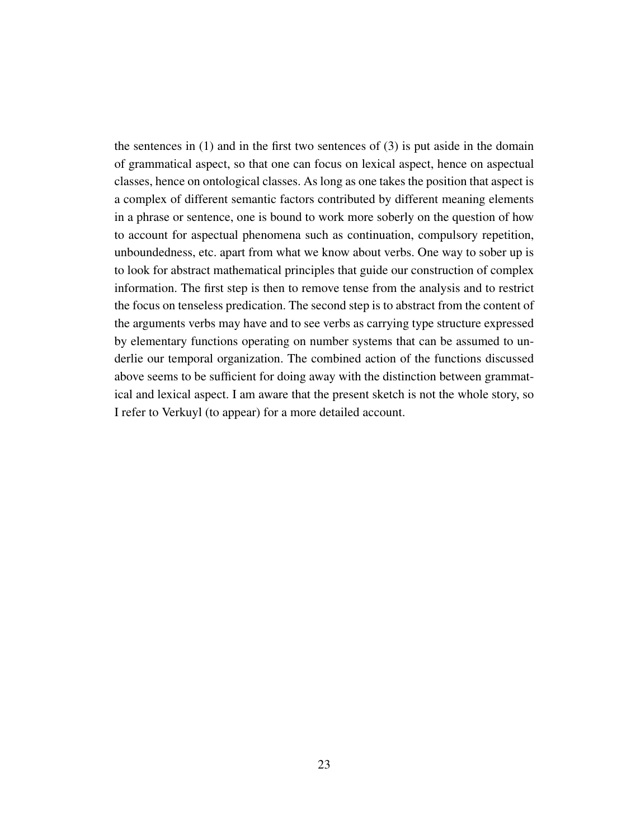the sentences in  $(1)$  and in the first two sentences of  $(3)$  is put aside in the domain of grammatical aspect, so that one can focus on lexical aspect, hence on aspectual classes, hence on ontological classes. As long as one takes the position that aspect is a complex of different semantic factors contributed by different meaning elements in a phrase or sentence, one is bound to work more soberly on the question of how to account for aspectual phenomena such as continuation, compulsory repetition, unboundedness, etc. apart from what we know about verbs. One way to sober up is to look for abstract mathematical principles that guide our construction of complex information. The first step is then to remove tense from the analysis and to restrict the focus on tenseless predication. The second step is to abstract from the content of the arguments verbs may have and to see verbs as carrying type structure expressed by elementary functions operating on number systems that can be assumed to underlie our temporal organization. The combined action of the functions discussed above seems to be sufficient for doing away with the distinction between grammatical and lexical aspect. I am aware that the present sketch is not the whole story, so I refer to Verkuyl (to appear) for a more detailed account.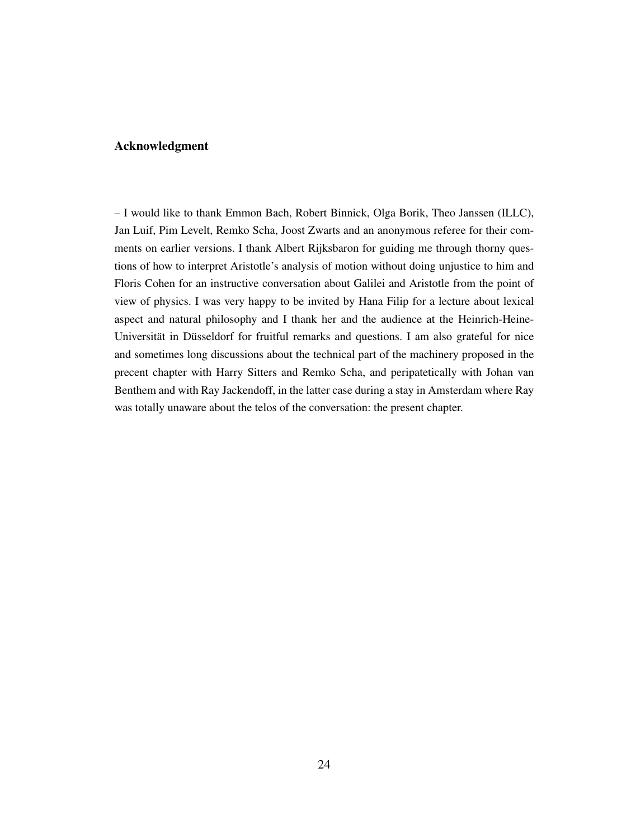### Acknowledgment

– I would like to thank Emmon Bach, Robert Binnick, Olga Borik, Theo Janssen (ILLC), Jan Luif, Pim Levelt, Remko Scha, Joost Zwarts and an anonymous referee for their comments on earlier versions. I thank Albert Rijksbaron for guiding me through thorny questions of how to interpret Aristotle's analysis of motion without doing unjustice to him and Floris Cohen for an instructive conversation about Galilei and Aristotle from the point of view of physics. I was very happy to be invited by Hana Filip for a lecture about lexical aspect and natural philosophy and I thank her and the audience at the Heinrich-Heine-Universität in Düsseldorf for fruitful remarks and questions. I am also grateful for nice and sometimes long discussions about the technical part of the machinery proposed in the precent chapter with Harry Sitters and Remko Scha, and peripatetically with Johan van Benthem and with Ray Jackendoff, in the latter case during a stay in Amsterdam where Ray was totally unaware about the telos of the conversation: the present chapter.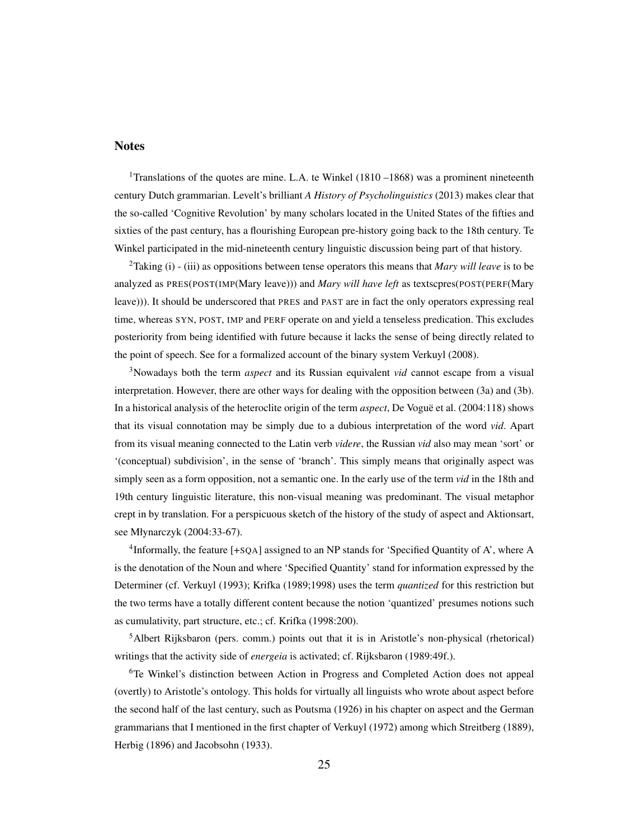## **Notes**

<sup>1</sup>Translations of the quotes are mine. L.A. te Winkel (1810 –1868) was a prominent nineteenth century Dutch grammarian. Levelt's brilliant *A History of Psycholinguistics* (2013) makes clear that the so-called 'Cognitive Revolution' by many scholars located in the United States of the fifties and sixties of the past century, has a flourishing European pre-history going back to the 18th century. Te Winkel participated in the mid-nineteenth century linguistic discussion being part of that history.

<sup>2</sup>Taking (i) - (iii) as oppositions between tense operators this means that *Mary will leave* is to be analyzed as PRES(POST(IMP(Mary leave))) and *Mary will have left* as textscpres(POST(PERF(Mary leave))). It should be underscored that PRES and PAST are in fact the only operators expressing real time, whereas SYN, POST, IMP and PERF operate on and yield a tenseless predication. This excludes posteriority from being identified with future because it lacks the sense of being directly related to the point of speech. See for a formalized account of the binary system Verkuyl (2008).

<sup>3</sup>Nowadays both the term *aspect* and its Russian equivalent *vid* cannot escape from a visual interpretation. However, there are other ways for dealing with the opposition between (3a) and (3b). In a historical analysis of the heteroclite origin of the term *aspect*, De Vogue et al. (2004:118) shows ¨ that its visual connotation may be simply due to a dubious interpretation of the word *vid*. Apart from its visual meaning connected to the Latin verb *videre*, the Russian *vid* also may mean 'sort' or '(conceptual) subdivision', in the sense of 'branch'. This simply means that originally aspect was simply seen as a form opposition, not a semantic one. In the early use of the term *vid* in the 18th and 19th century linguistic literature, this non-visual meaning was predominant. The visual metaphor crept in by translation. For a perspicuous sketch of the history of the study of aspect and Aktionsart, see Młynarczyk (2004:33-67).

<sup>4</sup>Informally, the feature [+SQA] assigned to an NP stands for 'Specified Quantity of A', where A is the denotation of the Noun and where 'Specified Quantity' stand for information expressed by the Determiner (cf. Verkuyl (1993); Krifka (1989;1998) uses the term *quantized* for this restriction but the two terms have a totally different content because the notion 'quantized' presumes notions such as cumulativity, part structure, etc.; cf. Krifka (1998:200).

<sup>5</sup>Albert Rijksbaron (pers. comm.) points out that it is in Aristotle's non-physical (rhetorical) writings that the activity side of *energeia* is activated; cf. Rijksbaron (1989:49f.).

<sup>6</sup>Te Winkel's distinction between Action in Progress and Completed Action does not appeal (overtly) to Aristotle's ontology. This holds for virtually all linguists who wrote about aspect before the second half of the last century, such as Poutsma (1926) in his chapter on aspect and the German grammarians that I mentioned in the first chapter of Verkuyl (1972) among which Streitberg (1889), Herbig (1896) and Jacobsohn (1933).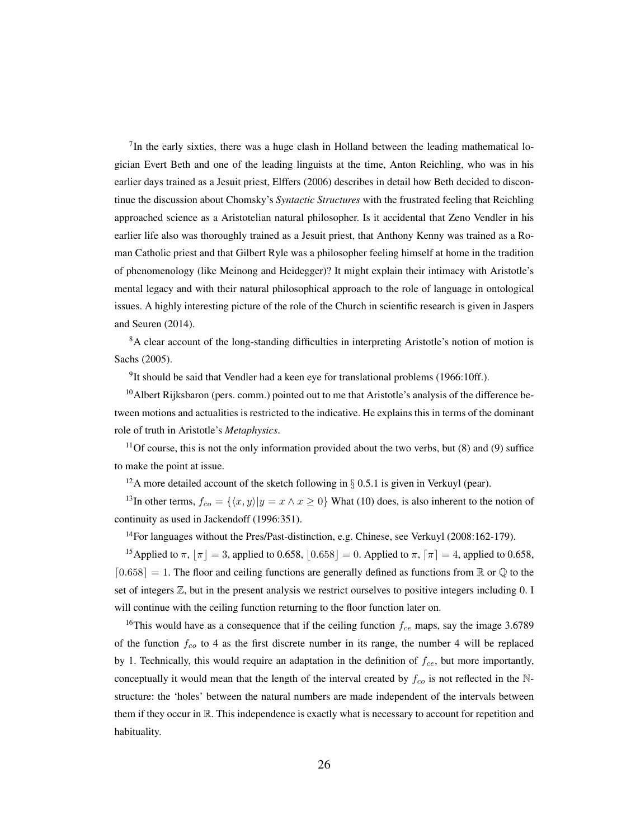$7$ In the early sixties, there was a huge clash in Holland between the leading mathematical logician Evert Beth and one of the leading linguists at the time, Anton Reichling, who was in his earlier days trained as a Jesuit priest, Elffers (2006) describes in detail how Beth decided to discontinue the discussion about Chomsky's *Syntactic Structures* with the frustrated feeling that Reichling approached science as a Aristotelian natural philosopher. Is it accidental that Zeno Vendler in his earlier life also was thoroughly trained as a Jesuit priest, that Anthony Kenny was trained as a Roman Catholic priest and that Gilbert Ryle was a philosopher feeling himself at home in the tradition of phenomenology (like Meinong and Heidegger)? It might explain their intimacy with Aristotle's mental legacy and with their natural philosophical approach to the role of language in ontological issues. A highly interesting picture of the role of the Church in scientific research is given in Jaspers and Seuren (2014).

<sup>8</sup>A clear account of the long-standing difficulties in interpreting Aristotle's notion of motion is Sachs (2005).

<sup>9</sup>It should be said that Vendler had a keen eye for translational problems (1966:10ff.).

 $10$ Albert Rijksbaron (pers. comm.) pointed out to me that Aristotle's analysis of the difference between motions and actualities is restricted to the indicative. He explains this in terms of the dominant role of truth in Aristotle's *Metaphysics*.

<sup>11</sup>Of course, this is not the only information provided about the two verbs, but  $(8)$  and  $(9)$  suffice to make the point at issue.

<sup>12</sup>A more detailed account of the sketch following in  $\S$  0.5.1 is given in Verkuyl (pear).

<sup>13</sup>In other terms,  $f_{co} = \{ \langle x, y \rangle | y = x \land x \ge 0 \}$  What (10) does, is also inherent to the notion of continuity as used in Jackendoff (1996:351).

<sup>14</sup>For languages without the Pres/Past-distinction, e.g. Chinese, see Verkuyl (2008:162-179).

<sup>15</sup>Applied to  $\pi$ ,  $|\pi| = 3$ , applied to 0.658,  $|0.658| = 0$ . Applied to  $\pi$ ,  $|\pi| = 4$ , applied to 0.658,  $[0.658] = 1$ . The floor and ceiling functions are generally defined as functions from  $\mathbb R$  or  $\mathbb Q$  to the set of integers Z, but in the present analysis we restrict ourselves to positive integers including 0. I will continue with the ceiling function returning to the floor function later on.

<sup>16</sup>This would have as a consequence that if the ceiling function  $f_{ce}$  maps, say the image 3.6789 of the function  $f_{co}$  to 4 as the first discrete number in its range, the number 4 will be replaced by 1. Technically, this would require an adaptation in the definition of  $f_{ce}$ , but more importantly, conceptually it would mean that the length of the interval created by  $f_{co}$  is not reflected in the Nstructure: the 'holes' between the natural numbers are made independent of the intervals between them if they occur in R. This independence is exactly what is necessary to account for repetition and habituality.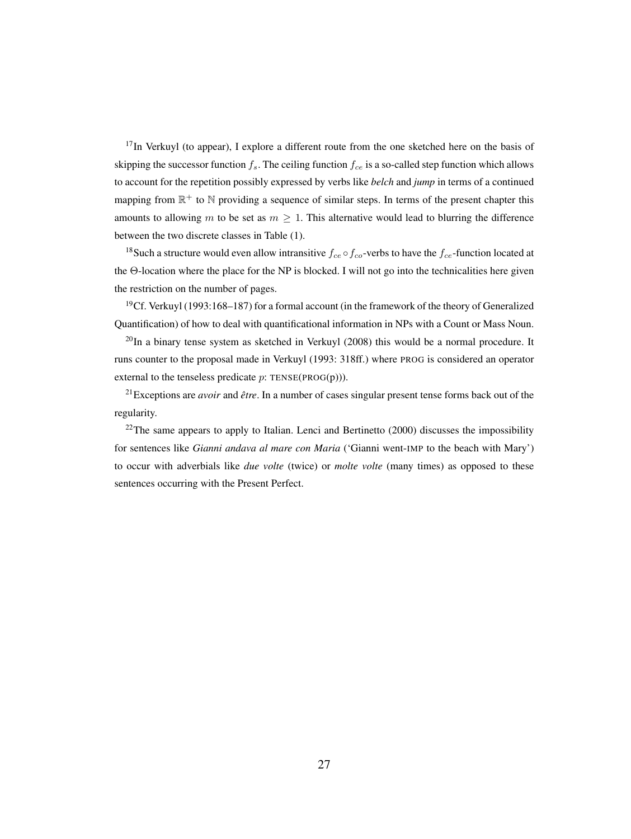$17$ In Verkuyl (to appear), I explore a different route from the one sketched here on the basis of skipping the successor function  $f_s$ . The ceiling function  $f_{ce}$  is a so-called step function which allows to account for the repetition possibly expressed by verbs like *belch* and *jump* in terms of a continued mapping from  $\mathbb{R}^+$  to  $\mathbb N$  providing a sequence of similar steps. In terms of the present chapter this amounts to allowing m to be set as  $m \geq 1$ . This alternative would lead to blurring the difference between the two discrete classes in Table (1).

<sup>18</sup>Such a structure would even allow intransitive  $f_{ce} \circ f_{co}$ -verbs to have the  $f_{ce}$ -function located at the Θ-location where the place for the NP is blocked. I will not go into the technicalities here given the restriction on the number of pages.

<sup>19</sup>Cf. Verkuyl (1993:168–187) for a formal account (in the framework of the theory of Generalized Quantification) of how to deal with quantificational information in NPs with a Count or Mass Noun.

 $^{20}$ In a binary tense system as sketched in Verkuyl (2008) this would be a normal procedure. It runs counter to the proposal made in Verkuyl (1993: 318ff.) where PROG is considered an operator external to the tenseless predicate  $p$ : TENSE(PROG(p))).

<sup>21</sup>Exceptions are *avoir* and  $\hat{e}$ *tre*. In a number of cases singular present tense forms back out of the regularity.

 $22$ The same appears to apply to Italian. Lenci and Bertinetto (2000) discusses the impossibility for sentences like *Gianni andava al mare con Maria* ('Gianni went-IMP to the beach with Mary') to occur with adverbials like *due volte* (twice) or *molte volte* (many times) as opposed to these sentences occurring with the Present Perfect.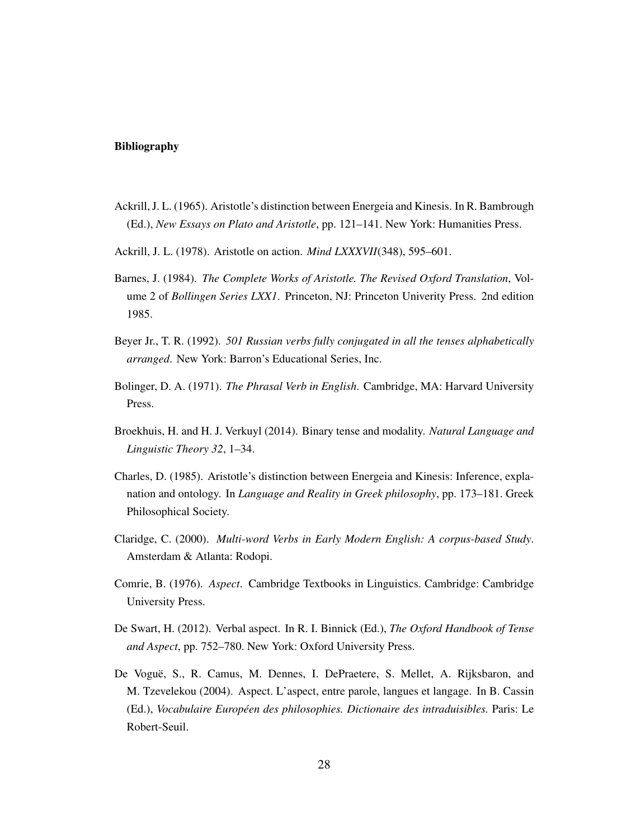#### Bibliography

- Ackrill, J. L. (1965). Aristotle's distinction between Energeia and Kinesis. In R. Bambrough (Ed.), *New Essays on Plato and Aristotle*, pp. 121–141. New York: Humanities Press.
- Ackrill, J. L. (1978). Aristotle on action. *Mind LXXXVII*(348), 595–601.
- Barnes, J. (1984). *The Complete Works of Aristotle. The Revised Oxford Translation*, Volume 2 of *Bollingen Series LXX1*. Princeton, NJ: Princeton Univerity Press. 2nd edition 1985.
- Beyer Jr., T. R. (1992). *501 Russian verbs fully conjugated in all the tenses alphabetically arranged*. New York: Barron's Educational Series, Inc.
- Bolinger, D. A. (1971). *The Phrasal Verb in English*. Cambridge, MA: Harvard University Press.
- Broekhuis, H. and H. J. Verkuyl (2014). Binary tense and modality. *Natural Language and Linguistic Theory 32*, 1–34.
- Charles, D. (1985). Aristotle's distinction between Energeia and Kinesis: Inference, explanation and ontology. In *Language and Reality in Greek philosophy*, pp. 173–181. Greek Philosophical Society.
- Claridge, C. (2000). *Multi-word Verbs in Early Modern English: A corpus-based Study*. Amsterdam & Atlanta: Rodopi.
- Comrie, B. (1976). *Aspect*. Cambridge Textbooks in Linguistics. Cambridge: Cambridge University Press.
- De Swart, H. (2012). Verbal aspect. In R. I. Binnick (Ed.), *The Oxford Handbook of Tense and Aspect*, pp. 752–780. New York: Oxford University Press.
- De Vogue, S., R. Camus, M. Dennes, I. DePraetere, S. Mellet, A. Rijksbaron, and ¨ M. Tzevelekou (2004). Aspect. L'aspect, entre parole, langues et langage. In B. Cassin (Ed.), *Vocabulaire Europeen des philosophies. Dictionaire des intraduisibles. ´* Paris: Le Robert-Seuil.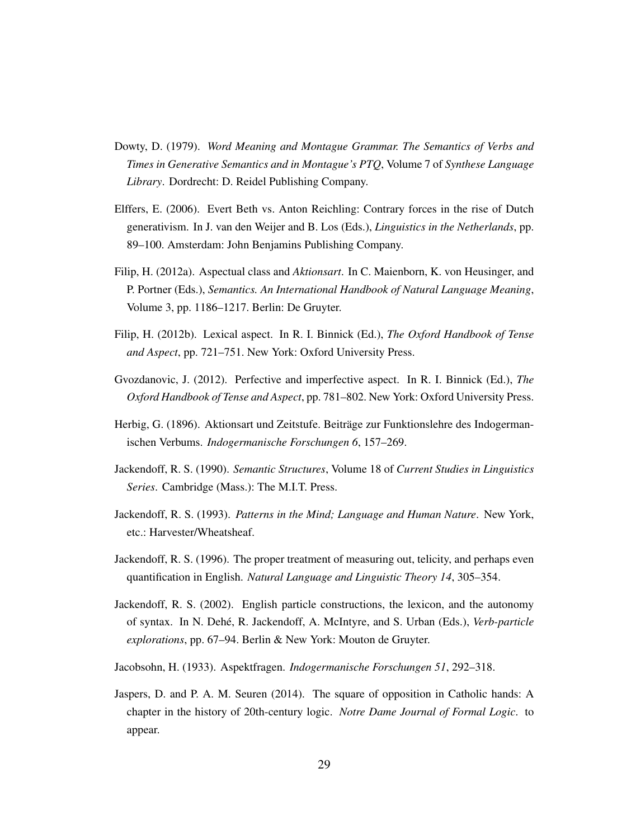- Dowty, D. (1979). *Word Meaning and Montague Grammar. The Semantics of Verbs and Times in Generative Semantics and in Montague's PTQ*, Volume 7 of *Synthese Language Library*. Dordrecht: D. Reidel Publishing Company.
- Elffers, E. (2006). Evert Beth vs. Anton Reichling: Contrary forces in the rise of Dutch generativism. In J. van den Weijer and B. Los (Eds.), *Linguistics in the Netherlands*, pp. 89–100. Amsterdam: John Benjamins Publishing Company.
- Filip, H. (2012a). Aspectual class and *Aktionsart*. In C. Maienborn, K. von Heusinger, and P. Portner (Eds.), *Semantics. An International Handbook of Natural Language Meaning*, Volume 3, pp. 1186–1217. Berlin: De Gruyter.
- Filip, H. (2012b). Lexical aspect. In R. I. Binnick (Ed.), *The Oxford Handbook of Tense and Aspect*, pp. 721–751. New York: Oxford University Press.
- Gvozdanovic, J. (2012). Perfective and imperfective aspect. In R. I. Binnick (Ed.), *The Oxford Handbook of Tense and Aspect*, pp. 781–802. New York: Oxford University Press.
- Herbig, G. (1896). Aktionsart und Zeitstufe. Beiträge zur Funktionslehre des Indogermanischen Verbums. *Indogermanische Forschungen 6*, 157–269.
- Jackendoff, R. S. (1990). *Semantic Structures*, Volume 18 of *Current Studies in Linguistics Series*. Cambridge (Mass.): The M.I.T. Press.
- Jackendoff, R. S. (1993). *Patterns in the Mind; Language and Human Nature*. New York, etc.: Harvester/Wheatsheaf.
- Jackendoff, R. S. (1996). The proper treatment of measuring out, telicity, and perhaps even quantification in English. *Natural Language and Linguistic Theory 14*, 305–354.
- Jackendoff, R. S. (2002). English particle constructions, the lexicon, and the autonomy of syntax. In N. Dehe, R. Jackendoff, A. McIntyre, and S. Urban (Eds.), ´ *Verb-particle explorations*, pp. 67–94. Berlin & New York: Mouton de Gruyter.
- Jacobsohn, H. (1933). Aspektfragen. *Indogermanische Forschungen 51*, 292–318.
- Jaspers, D. and P. A. M. Seuren (2014). The square of opposition in Catholic hands: A chapter in the history of 20th-century logic. *Notre Dame Journal of Formal Logic*. to appear.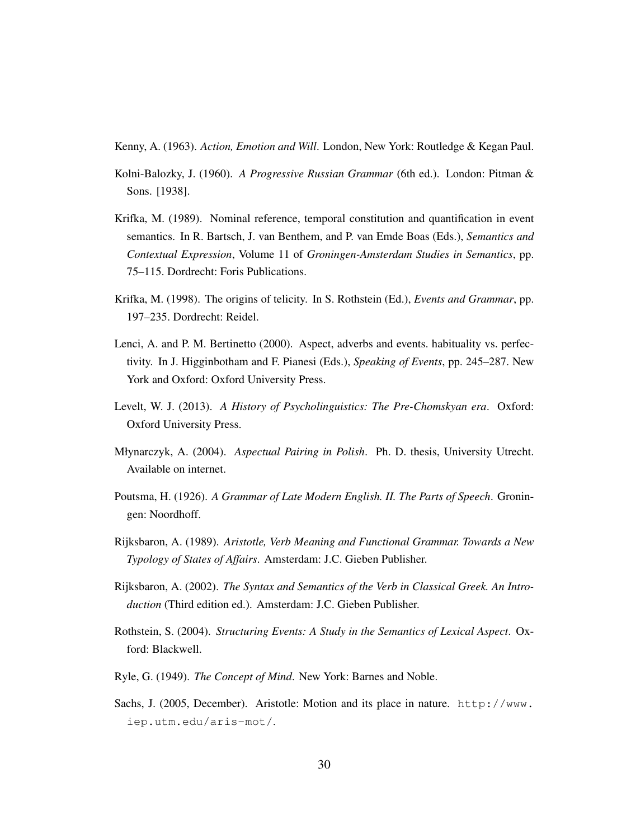Kenny, A. (1963). *Action, Emotion and Will*. London, New York: Routledge & Kegan Paul.

- Kolni-Balozky, J. (1960). *A Progressive Russian Grammar* (6th ed.). London: Pitman & Sons. [1938].
- Krifka, M. (1989). Nominal reference, temporal constitution and quantification in event semantics. In R. Bartsch, J. van Benthem, and P. van Emde Boas (Eds.), *Semantics and Contextual Expression*, Volume 11 of *Groningen-Amsterdam Studies in Semantics*, pp. 75–115. Dordrecht: Foris Publications.
- Krifka, M. (1998). The origins of telicity. In S. Rothstein (Ed.), *Events and Grammar*, pp. 197–235. Dordrecht: Reidel.
- Lenci, A. and P. M. Bertinetto (2000). Aspect, adverbs and events. habituality vs. perfectivity. In J. Higginbotham and F. Pianesi (Eds.), *Speaking of Events*, pp. 245–287. New York and Oxford: Oxford University Press.
- Levelt, W. J. (2013). *A History of Psycholinguistics: The Pre-Chomskyan era*. Oxford: Oxford University Press.
- Młynarczyk, A. (2004). *Aspectual Pairing in Polish*. Ph. D. thesis, University Utrecht. Available on internet.
- Poutsma, H. (1926). *A Grammar of Late Modern English. II. The Parts of Speech*. Groningen: Noordhoff.
- Rijksbaron, A. (1989). *Aristotle, Verb Meaning and Functional Grammar. Towards a New Typology of States of Affairs*. Amsterdam: J.C. Gieben Publisher.
- Rijksbaron, A. (2002). *The Syntax and Semantics of the Verb in Classical Greek. An Introduction* (Third edition ed.). Amsterdam: J.C. Gieben Publisher.
- Rothstein, S. (2004). *Structuring Events: A Study in the Semantics of Lexical Aspect*. Oxford: Blackwell.
- Ryle, G. (1949). *The Concept of Mind*. New York: Barnes and Noble.
- Sachs, J. (2005, December). Aristotle: Motion and its place in nature. http://www. iep.utm.edu/aris-mot/.